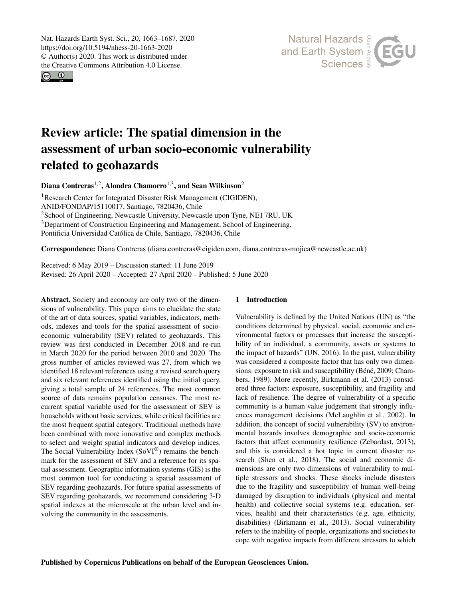Nat. Hazards Earth Syst. Sci., 20, 1663–1687, 2020 https://doi.org/10.5194/nhess-20-1663-2020 © Author(s) 2020. This work is distributed under the Creative Commons Attribution 4.0 License.

 $\circ$   $\circ$ 



# Review article: The spatial dimension in the assessment of urban socio-economic vulnerability related to geohazards

Diana Contreras<sup>[1,2](#page-0-0)</sup>, Alondra Chamorro<sup>[1,3](#page-0-0)</sup>, and Sean Wilkinson<sup>[2](#page-0-0)</sup>

<sup>1</sup>Research Center for Integrated Disaster Risk Management (CIGIDEN), ANID/FONDAP/15110017, Santiago, 7820436, Chile <sup>2</sup>School of Engineering, Newcastle University, Newcastle upon Tyne, NE1 7RU, UK <sup>3</sup>Department of Construction Engineering and Management, School of Engineering, Pontificia Universidad Católica de Chile, Santiago, 7820436, Chile

Correspondence: Diana Contreras (diana.contreras@cigiden.com, diana.contreras-mojica@newcastle.ac.uk)

Received: 6 May 2019 – Discussion started: 11 June 2019 Revised: 26 April 2020 – Accepted: 27 April 2020 – Published: 5 June 2020

<span id="page-0-0"></span>Abstract. Society and economy are only two of the dimensions of vulnerability. This paper aims to elucidate the state of the art of data sources, spatial variables, indicators, methods, indexes and tools for the spatial assessment of socioeconomic vulnerability (SEV) related to geohazards. This review was first conducted in December 2018 and re-run in March 2020 for the period between 2010 and 2020. The gross number of articles reviewed was 27, from which we identified 18 relevant references using a revised search query and six relevant references identified using the initial query, giving a total sample of 24 references. The most common source of data remains population censuses. The most recurrent spatial variable used for the assessment of SEV is households without basic services, while critical facilities are the most frequent spatial category. Traditional methods have been combined with more innovative and complex methods to select and weight spatial indicators and develop indices. The Social Vulnerability Index (SoVI<sup>®</sup>) remains the benchmark for the assessment of SEV and a reference for its spatial assessment. Geographic information systems (GIS) is the most common tool for conducting a spatial assessment of SEV regarding geohazards. For future spatial assessments of SEV regarding geohazards, we recommend considering 3-D spatial indexes at the microscale at the urban level and involving the community in the assessments.

# 1 Introduction

Vulnerability is defined by the United Nations (UN) as "the conditions determined by physical, social, economic and environmental factors or processes that increase the susceptibility of an individual, a community, assets or systems to the impact of hazards" (UN, 2016). In the past, vulnerability was considered a composite factor that has only two dimensions: exposure to risk and susceptibility (Béné, 2009; Chambers, 1989). More recently, Birkmann et al. (2013) considered three factors: exposure, susceptibility, and fragility and lack of resilience. The degree of vulnerability of a specific community is a human value judgement that strongly influences management decisions (McLaughlin et al., 2002). In addition, the concept of social vulnerability (SV) to environmental hazards involves demographic and socio-economic factors that affect community resilience (Zebardast, 2013), and this is considered a hot topic in current disaster research (Shen et al., 2018). The social and economic dimensions are only two dimensions of vulnerability to multiple stressors and shocks. These shocks include disasters due to the fragility and susceptibility of human well-being damaged by disruption to individuals (physical and mental health) and collective social systems (e.g. education, services, health) and their characteristics (e.g. age, ethnicity, disabilities) (Birkmann et al., 2013). Social vulnerability refers to the inability of people, organizations and societies to cope with negative impacts from different stressors to which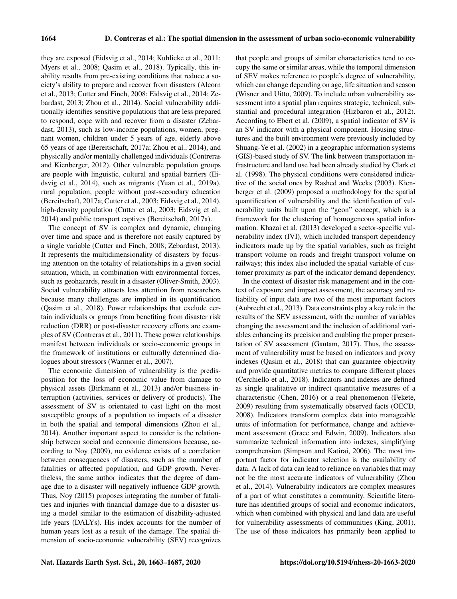they are exposed (Eidsvig et al., 2014; Kuhlicke et al., 2011; Myers et al., 2008; Qasim et al., 2018). Typically, this inability results from pre-existing conditions that reduce a society's ability to prepare and recover from disasters (Alcorn et al., 2013; Cutter and Finch, 2008; Eidsvig et al., 2014; Zebardast, 2013; Zhou et al., 2014). Social vulnerability additionally identifies sensitive populations that are less prepared to respond, cope with and recover from a disaster (Zebardast, 2013), such as low-income populations, women, pregnant women, children under 5 years of age, elderly above 65 years of age (Bereitschaft, 2017a; Zhou et al., 2014), and physically and/or mentally challenged individuals (Contreras and Kienberger, 2012). Other vulnerable population groups are people with linguistic, cultural and spatial barriers (Eidsvig et al., 2014), such as migrants (Yuan et al., 2019a), rural population, people without post-secondary education (Bereitschaft, 2017a; Cutter et al., 2003; Eidsvig et al., 2014), high-density population (Cutter et al., 2003; Eidsvig et al., 2014) and public transport captives (Bereitschaft, 2017a).

The concept of SV is complex and dynamic, changing over time and space and is therefore not easily captured by a single variable (Cutter and Finch, 2008; Zebardast, 2013). It represents the multidimensionality of disasters by focusing attention on the totality of relationships in a given social situation, which, in combination with environmental forces, such as geohazards, result in a disaster (Oliver-Smith, 2003). Social vulnerability attracts less attention from researchers because many challenges are implied in its quantification (Qasim et al., 2018). Power relationships that exclude certain individuals or groups from benefiting from disaster risk reduction (DRR) or post-disaster recovery efforts are examples of SV (Contreras et al., 2011). These power relationships manifest between individuals or socio-economic groups in the framework of institutions or culturally determined dialogues about stressors (Warmer et al., 2007).

The economic dimension of vulnerability is the predisposition for the loss of economic value from damage to physical assets (Birkmann et al., 2013) and/or business interruption (activities, services or delivery of products). The assessment of SV is orientated to cast light on the most susceptible groups of a population to impacts of a disaster in both the spatial and temporal dimensions (Zhou et al., 2014). Another important aspect to consider is the relationship between social and economic dimensions because, according to Noy (2009), no evidence exists of a correlation between consequences of disasters, such as the number of fatalities or affected population, and GDP growth. Nevertheless, the same author indicates that the degree of damage due to a disaster will negatively influence GDP growth. Thus, Noy (2015) proposes integrating the number of fatalities and injuries with financial damage due to a disaster using a model similar to the estimation of disability-adjusted life years (DALYs). His index accounts for the number of human years lost as a result of the damage. The spatial dimension of socio-economic vulnerability (SEV) recognizes

that people and groups of similar characteristics tend to occupy the same or similar areas, while the temporal dimension of SEV makes reference to people's degree of vulnerability, which can change depending on age, life situation and season (Wisner and Uitto, 2009). To include urban vulnerability assessment into a spatial plan requires strategic, technical, substantial and procedural integration (Hizbaron et al., 2012). According to Ebert et al. (2009), a spatial indicator of SV is an SV indicator with a physical component. Housing structures and the built environment were previously included by Shuang-Ye et al. (2002) in a geographic information systems (GIS)-based study of SV. The link between transportation infrastructure and land use had been already studied by Clark et al. (1998). The physical conditions were considered indicative of the social ones by Rashed and Weeks (2003). Kienberger et al. (2009) proposed a methodology for the spatial quantification of vulnerability and the identification of vulnerability units built upon the "geon" concept, which is a framework for the clustering of homogeneous spatial information. Khazai et al. (2013) developed a sector-specific vulnerability index (IVI), which included transport dependency indicators made up by the spatial variables, such as freight transport volume on roads and freight transport volume on railways; this index also included the spatial variable of customer proximity as part of the indicator demand dependency.

In the context of disaster risk management and in the context of exposure and impact assessment, the accuracy and reliability of input data are two of the most important factors (Aubrecht et al., 2013). Data constraints play a key role in the results of the SEV assessment, with the number of variables changing the assessment and the inclusion of additional variables enhancing its precision and enabling the proper presentation of SV assessment (Gautam, 2017). Thus, the assessment of vulnerability must be based on indicators and proxy indexes (Qasim et al., 2018) that can guarantee objectivity and provide quantitative metrics to compare different places (Cerchiello et al., 2018). Indicators and indexes are defined as single qualitative or indirect quantitative measures of a characteristic (Chen, 2016) or a real phenomenon (Fekete, 2009) resulting from systematically observed facts (OECD, 2008). Indicators transform complex data into manageable units of information for performance, change and achievement assessment (Grace and Edwin, 2009). Indicators also summarize technical information into indexes, simplifying comprehension (Simpson and Katirai, 2006). The most important factor for indicator selection is the availability of data. A lack of data can lead to reliance on variables that may not be the most accurate indicators of vulnerability (Zhou et al., 2014). Vulnerability indicators are complex measures of a part of what constitutes a community. Scientific literature has identified groups of social and economic indicators, which when combined with physical and land data are useful for vulnerability assessments of communities (King, 2001). The use of these indicators has primarily been applied to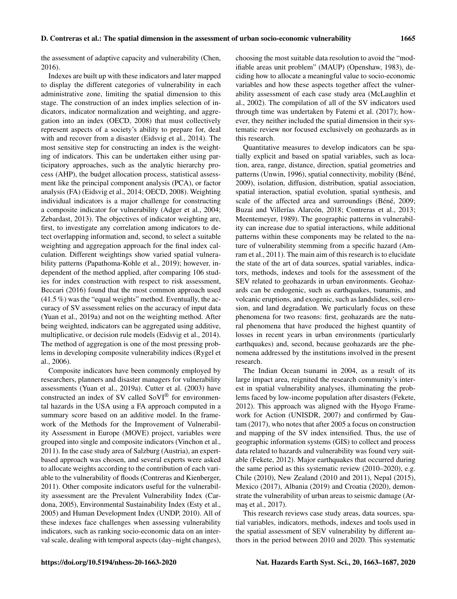the assessment of adaptive capacity and vulnerability (Chen, 2016).

Indexes are built up with these indicators and later mapped to display the different categories of vulnerability in each administrative zone, limiting the spatial dimension to this stage. The construction of an index implies selection of indicators, indicator normalization and weighting, and aggregation into an index (OECD, 2008) that must collectively represent aspects of a society's ability to prepare for, deal with and recover from a disaster (Eidsvig et al., 2014). The most sensitive step for constructing an index is the weighting of indicators. This can be undertaken either using participatory approaches, such as the analytic hierarchy process (AHP), the budget allocation process, statistical assessment like the principal component analysis (PCA), or factor analysis (FA) (Eidsvig et al., 2014; OECD, 2008). Weighting individual indicators is a major challenge for constructing a composite indicator for vulnerability (Adger et al., 2004; Zebardast, 2013). The objectives of indicator weighting are, first, to investigate any correlation among indicators to detect overlapping information and, second, to select a suitable weighting and aggregation approach for the final index calculation. Different weightings show varied spatial vulnerability patterns (Papathoma-Kohle et al., 2019); however, independent of the method applied, after comparing 106 studies for index construction with respect to risk assessment, Beccari (2016) found that the most common approach used  $(41.5\%)$  was the "equal weights" method. Eventually, the accuracy of SV assessment relies on the accuracy of input data (Yuan et al., 2019a) and not on the weighting method. After being weighted, indicators can be aggregated using additive, multiplicative, or decision rule models (Eidsvig et al., 2014). The method of aggregation is one of the most pressing problems in developing composite vulnerability indices (Rygel et al., 2006).

Composite indicators have been commonly employed by researchers, planners and disaster managers for vulnerability assessments (Yuan et al., 2019a). Cutter et al. (2003) have constructed an index of SV called SoVI® for environmental hazards in the USA using a FA approach computed in a summary score based on an additive model. In the framework of the Methods for the Improvement of Vulnerability Assessment in Europe (MOVE) project, variables were grouped into single and composite indicators (Vinchon et al., 2011). In the case study area of Salzburg (Austria), an expertbased approach was chosen, and several experts were asked to allocate weights according to the contribution of each variable to the vulnerability of floods (Contreras and Kienberger, 2011). Other composite indicators useful for the vulnerability assessment are the Prevalent Vulnerability Index (Cardona, 2005), Environmental Sustainability Index (Esty et al., 2005) and Human Development Index (UNDP, 2010). All of these indexes face challenges when assessing vulnerability indicators, such as ranking socio-economic data on an interval scale, dealing with temporal aspects (day–night changes), choosing the most suitable data resolution to avoid the "modifiable areas unit problem" (MAUP) (Openshaw, 1983), deciding how to allocate a meaningful value to socio-economic variables and how these aspects together affect the vulnerability assessment of each case study area (McLaughlin et al., 2002). The compilation of all of the SV indicators used through time was undertaken by Fatemi et al. (2017); however, they neither included the spatial dimension in their systematic review nor focused exclusively on geohazards as in this research.

Quantitative measures to develop indicators can be spatially explicit and based on spatial variables, such as location, area, range, distance, direction, spatial geometries and patterns (Unwin, 1996), spatial connectivity, mobility (Béné, 2009), isolation, diffusion, distribution, spatial association, spatial interaction, spatial evolution, spatial synthesis, and scale of the affected area and surroundings (Béné, 2009; Buzai and Villerías Alarcón, 2018; Contreras et al., 2013; Meentemeyer, 1989). The geographic patterns in vulnerability can increase due to spatial interactions, while additional patterns within these components may be related to the nature of vulnerability stemming from a specific hazard (Amram et al., 2011). The main aim of this research is to elucidate the state of the art of data sources, spatial variables, indicators, methods, indexes and tools for the assessment of the SEV related to geohazards in urban environments. Geohazards can be endogenic, such as earthquakes, tsunamis, and volcanic eruptions, and exogenic, such as landslides, soil erosion, and land degradation. We particularly focus on these phenomena for two reasons: first, geohazards are the natural phenomena that have produced the highest quantity of losses in recent years in urban environments (particularly earthquakes) and, second, because geohazards are the phenomena addressed by the institutions involved in the present research.

The Indian Ocean tsunami in 2004, as a result of its large impact area, reignited the research community's interest in spatial vulnerability analyses, illuminating the problems faced by low-income population after disasters (Fekete, 2012). This approach was aligned with the Hyogo Framework for Action (UNISDR, 2007) and confirmed by Gautam (2017), who notes that after 2005 a focus on construction and mapping of the SV index intensified. Thus, the use of geographic information systems (GIS) to collect and process data related to hazards and vulnerability was found very suitable (Fekete, 2012). Major earthquakes that occurred during the same period as this systematic review (2010–2020), e.g. Chile (2010), New Zealand (2010 and 2011), Nepal (2015), Mexico (2017), Albania (2019) and Croatia (2020), demonstrate the vulnerability of urban areas to seismic damage (Armaş et al., 2017).

This research reviews case study areas, data sources, spatial variables, indicators, methods, indexes and tools used in the spatial assessment of SEV vulnerability by different authors in the period between 2010 and 2020. This systematic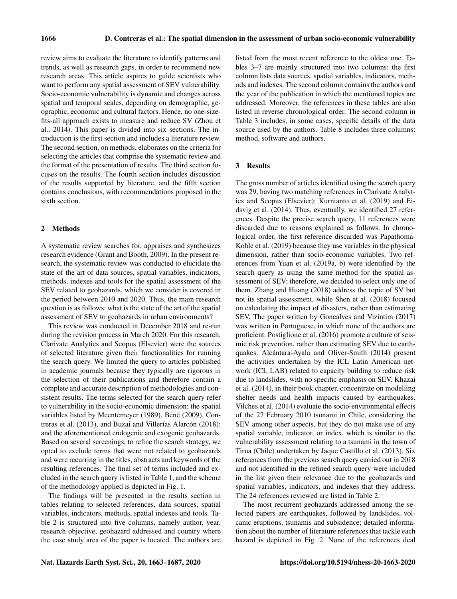review aims to evaluate the literature to identify patterns and trends, as well as research gaps, in order to recommend new research areas. This article aspires to guide scientists who want to perform any spatial assessment of SEV vulnerability. Socio-economic vulnerability is dynamic and changes across spatial and temporal scales, depending on demographic, geographic, economic and cultural factors. Hence, no one-sizefits-all approach exists to measure and reduce SV (Zhou et al., 2014). This paper is divided into six sections. The introduction is the first section and includes a literature review. The second section, on methods, elaborates on the criteria for selecting the articles that comprise the systematic review and the format of the presentation of results. The third section focuses on the results. The fourth section includes discussion of the results supported by literature, and the fifth section contains conclusions, with recommendations proposed in the sixth section.

## 2 Methods

A systematic review searches for, appraises and synthesizes research evidence (Grant and Booth, 2009). In the present research, the systematic review was conducted to elucidate the state of the art of data sources, spatial variables, indicators, methods, indexes and tools for the spatial assessment of the SEV related to geohazards, which we consider is covered in the period between 2010 and 2020. Thus, the main research question is as follows: what is the state of the art of the spatial assessment of SEV to geohazards in urban environments?

This review was conducted in December 2018 and re-run during the revision process in March 2020. For this research, Clarivate Analytics and Scopus (Elsevier) were the sources of selected literature given their functionalities for running the search query. We limited the query to articles published in academic journals because they typically are rigorous in the selection of their publications and therefore contain a complete and accurate description of methodologies and consistent results. The terms selected for the search query refer to vulnerability in the socio-economic dimension; the spatial variables listed by Meentemeyer (1989), Béné (2009), Contreras et al. (2013), and Buzai and Villerías Alarcón (2018); and the aforementioned endogenic and exogenic geohazards. Based on several screenings, to refine the search strategy, we opted to exclude terms that were not related to geohazards and were recurring in the titles, abstracts and keywords of the resulting references. The final set of terms included and excluded in the search query is listed in Table 1, and the scheme of the methodology applied is depicted in Fig. 1.

The findings will be presented in the results section in tables relating to selected references, data sources, spatial variables, indicators, methods, spatial indexes and tools. Table 2 is structured into five columns, namely author, year, research objective, geohazard addressed and country where the case study area of the paper is located. The authors are listed from the most recent reference to the oldest one. Tables 3–7 are mainly structured into two columns: the first column lists data sources, spatial variables, indicators, methods and indexes. The second column contains the authors and the year of the publication in which the mentioned topics are addressed. Moreover, the references in these tables are also listed in reverse chronological order. The second column in Table 3 includes, in some cases, specific details of the data source used by the authors. Table 8 includes three columns: method, software and authors.

#### 3 Results

The gross number of articles identified using the search query was 29, having two matching references in Clarivate Analytics and Scopus (Elsevier): Kurnianto et al. (2019) and Eidsvig et al. (2014). Thus, eventually, we identified 27 references. Despite the precise search query, 11 references were discarded due to reasons explained as follows. In chronological order, the first reference discarded was Papathoma-Kohle et al. (2019) because they use variables in the physical dimension, rather than socio-economic variables. Two references from Yuan et al. (2019a, b) were identified by the search query as using the same method for the spatial assessment of SEV; therefore, we decided to select only one of them. Zhang and Huang (2018) address the topic of SV but not its spatial assessment, while Shen et al. (2018) focused on calculating the impact of disasters, rather than estimating SEV. The paper written by Goncalves and Vizintim (2017) was written in Portuguese, in which none of the authors are proficient. Postiglione et al. (2016) promote a culture of seismic risk prevention, rather than estimating SEV due to earthquakes. Alcántara-Ayala and Oliver-Smith (2014) present the activities undertaken by the ICL Latin American network (ICL LAB) related to capacity building to reduce risk due to landslides, with no specific emphasis on SEV. Khazai et al. (2014), in their book chapter, concentrate on modelling shelter needs and health impacts caused by earthquakes. Vilches et al. (2014) evaluate the socio-environmental effects of the 27 February 2010 tsunami in Chile, considering the SEV among other aspects, but they do not make use of any spatial variable, indicator, or index, which is similar to the vulnerability assessment relating to a tsunami in the town of Tirua (Chile) undertaken by Jaque Castillo et al. (2013). Six references from the previous search query carried out in 2018 and not identified in the refined search query were included in the list given their relevance due to the geohazards and spatial variables, indicators, and indexes that they address. The 24 references reviewed are listed in Table 2.

The most recurrent geohazards addressed among the selected papers are earthquakes, followed by landslides, volcanic eruptions, tsunamis and subsidence; detailed information about the number of literature references that tackle each hazard is depicted in Fig. 2. None of the references deal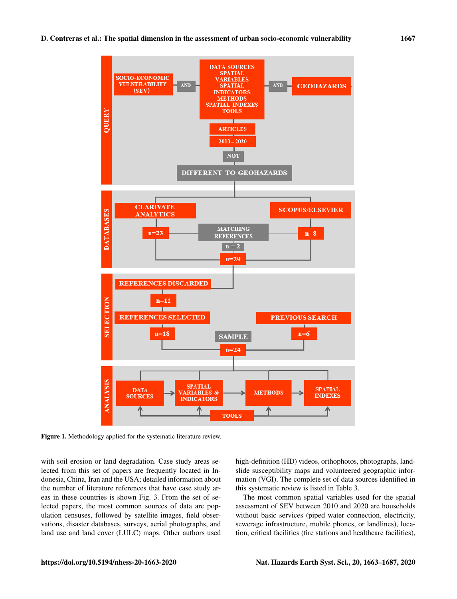

Figure 1. Methodology applied for the systematic literature review.

with soil erosion or land degradation. Case study areas selected from this set of papers are frequently located in Indonesia, China, Iran and the USA; detailed information about the number of literature references that have case study areas in these countries is shown Fig. 3. From the set of selected papers, the most common sources of data are population censuses, followed by satellite images, field observations, disaster databases, surveys, aerial photographs, and land use and land cover (LULC) maps. Other authors used high-definition (HD) videos, orthophotos, photographs, landslide susceptibility maps and volunteered geographic information (VGI). The complete set of data sources identified in this systematic review is listed in Table 3.

The most common spatial variables used for the spatial assessment of SEV between 2010 and 2020 are households without basic services (piped water connection, electricity, sewerage infrastructure, mobile phones, or landlines), location, critical facilities (fire stations and healthcare facilities),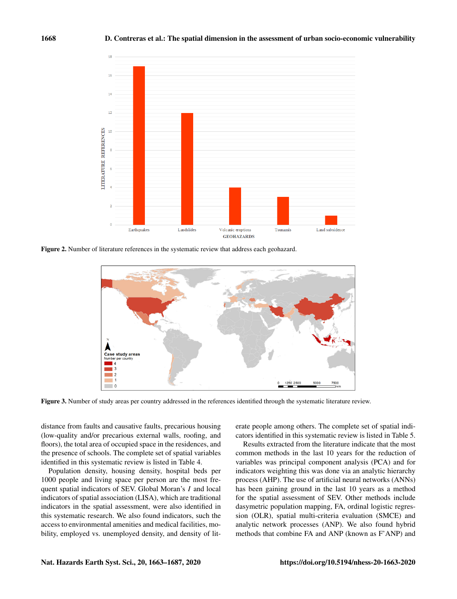

Figure 2. Number of literature references in the systematic review that address each geohazard.



Figure 3. Number of study areas per country addressed in the references identified through the systematic literature review.

distance from faults and causative faults, precarious housing (low-quality and/or precarious external walls, roofing, and floors), the total area of occupied space in the residences, and the presence of schools. The complete set of spatial variables identified in this systematic review is listed in Table 4.

Population density, housing density, hospital beds per 1000 people and living space per person are the most frequent spatial indicators of SEV. Global Moran's I and local indicators of spatial association (LISA), which are traditional indicators in the spatial assessment, were also identified in this systematic research. We also found indicators, such the access to environmental amenities and medical facilities, mobility, employed vs. unemployed density, and density of literate people among others. The complete set of spatial indicators identified in this systematic review is listed in Table 5.

Results extracted from the literature indicate that the most common methods in the last 10 years for the reduction of variables was principal component analysis (PCA) and for indicators weighting this was done via an analytic hierarchy process (AHP). The use of artificial neural networks (ANNs) has been gaining ground in the last 10 years as a method for the spatial assessment of SEV. Other methods include dasymetric population mapping, FA, ordinal logistic regression (OLR), spatial multi-criteria evaluation (SMCE) and analytic network processes (ANP). We also found hybrid methods that combine FA and ANP (known as F'ANP) and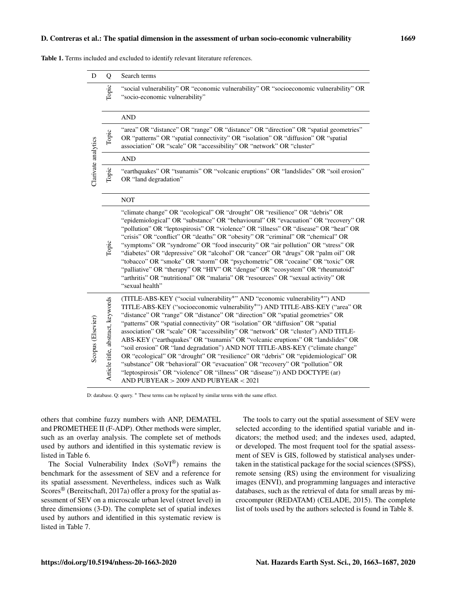#### D. Contreras et al.: The spatial dimension in the assessment of urban socio-economic vulnerability 1669

Table 1. Terms included and excluded to identify relevant literature references.

| D                   | Q                                 | Search terms                                                                                                                                                                                                                                                                                                                                                                                                                                                                                                                                                                                                                                                                                                                                                                                                                                                                       |
|---------------------|-----------------------------------|------------------------------------------------------------------------------------------------------------------------------------------------------------------------------------------------------------------------------------------------------------------------------------------------------------------------------------------------------------------------------------------------------------------------------------------------------------------------------------------------------------------------------------------------------------------------------------------------------------------------------------------------------------------------------------------------------------------------------------------------------------------------------------------------------------------------------------------------------------------------------------|
|                     | Topic                             | "social vulnerability" OR "economic vulnerability" OR "socioeconomic vulnerability" OR<br>"socio-economic vulnerability"                                                                                                                                                                                                                                                                                                                                                                                                                                                                                                                                                                                                                                                                                                                                                           |
|                     |                                   | <b>AND</b>                                                                                                                                                                                                                                                                                                                                                                                                                                                                                                                                                                                                                                                                                                                                                                                                                                                                         |
|                     | Topic                             | "area" OR "distance" OR "range" OR "distance" OR "direction" OR "spatial geometries"<br>OR "patterns" OR "spatial connectivity" OR "isolation" OR "diffusion" OR "spatial<br>association" OR "scale" OR "accessibility" OR "network" OR "cluster"                                                                                                                                                                                                                                                                                                                                                                                                                                                                                                                                                                                                                                  |
|                     |                                   | <b>AND</b>                                                                                                                                                                                                                                                                                                                                                                                                                                                                                                                                                                                                                                                                                                                                                                                                                                                                         |
| Clarivate analytics | Topic                             | "earthquakes" OR "tsunamis" OR "volcanic eruptions" OR "landslides" OR "soil erosion"<br>OR "land degradation"                                                                                                                                                                                                                                                                                                                                                                                                                                                                                                                                                                                                                                                                                                                                                                     |
|                     |                                   | <b>NOT</b>                                                                                                                                                                                                                                                                                                                                                                                                                                                                                                                                                                                                                                                                                                                                                                                                                                                                         |
|                     | Topic                             | "climate change" OR "ecological" OR "drought" OR "resilience" OR "debris" OR<br>"epidemiological" OR "substance" OR "behavioural" OR "evacuation" OR "recovery" OR<br>"pollution" OR "leptospirosis" OR "violence" OR "illness" OR "disease" OR "heat" OR<br>"crisis" OR "conflict" OR "deaths" OR "obesity" OR "criminal" OR "chemical" OR<br>"symptoms" OR "syndrome" OR "food insecurity" OR "air pollution" OR "stress" OR<br>"diabetes" OR "depressive" OR "alcohol" OR "cancer" OR "drugs" OR "palm oil" OR<br>"tobacco" OR "smoke" OR "storm" OR "psychometric" OR "cocaine" OR "toxic" OR<br>"palliative" OR "therapy" OR "HIV" OR "dengue" OR "ecosystem" OR "rheumatoid"<br>"arthritis" OR "nutritional" OR "malaria" OR "resources" OR "sexual activity" OR<br>"sexual health"                                                                                          |
| Scopus (Elsevier)   | Article title, abstract, keywords | (TITLE-ABS-KEY ("social vulnerability*" AND "economic vulnerability*") AND<br>TITLE-ABS-KEY ("socioeconomic vulnerability*") AND TITLE-ABS-KEY ("area" OR<br>"distance" OR "range" OR "distance" OR "direction" OR "spatial geometries" OR<br>"patterns" OR "spatial connectivity" OR "isolation" OR "diffusion" OR "spatial<br>association" OR "scale" OR "accessibility" OR "network" OR "cluster") AND TITLE-<br>ABS-KEY ("earthquakes" OR "tsunamis" OR "volcanic eruptions" OR "landslides" OR<br>"soil erosion" OR "land degradation") AND NOT TITLE-ABS-KEY ("climate change"<br>OR "ecological" OR "drought" OR "resilience" OR "debris" OR "epidemiological" OR<br>"substance" OR "behavioral" OR "evacuation" OR "recovery" OR "pollution" OR<br>"leptospirosis" OR "violence" OR "illness" OR "disease")) AND DOCTYPE (ar)<br>AND PUBYEAR $> 2009$ AND PUBYEAR $< 2021$ |

D: database. Q: query. \* These terms can be replaced by similar terms with the same effect.

others that combine fuzzy numbers with ANP, DEMATEL and PROMETHEE II (F-ADP). Other methods were simpler, such as an overlay analysis. The complete set of methods used by authors and identified in this systematic review is listed in Table 6.

The Social Vulnerability Index (SoVI<sup>®</sup>) remains the benchmark for the assessment of SEV and a reference for its spatial assessment. Nevertheless, indices such as Walk Scores® (Bereitschaft, 2017a) offer a proxy for the spatial assessment of SEV on a microscale urban level (street level) in three dimensions (3-D). The complete set of spatial indexes used by authors and identified in this systematic review is listed in Table 7.

The tools to carry out the spatial assessment of SEV were selected according to the identified spatial variable and indicators; the method used; and the indexes used, adapted, or developed. The most frequent tool for the spatial assessment of SEV is GIS, followed by statistical analyses undertaken in the statistical package for the social sciences (SPSS), remote sensing (RS) using the environment for visualizing images (ENVI), and programming languages and interactive databases, such as the retrieval of data for small areas by microcomputer (REDATAM) (CELADE, 2015). The complete list of tools used by the authors selected is found in Table 8.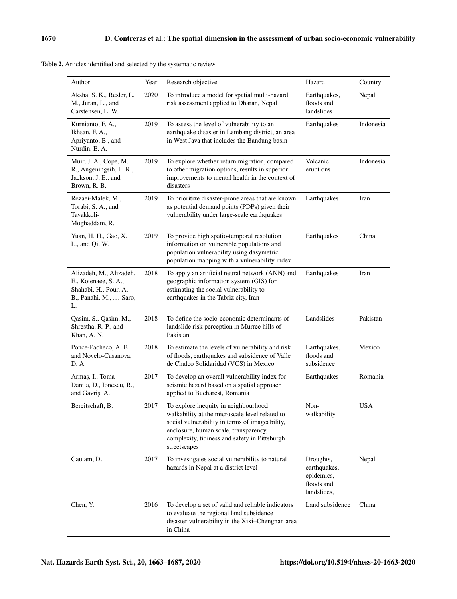| Author                                                                                                  | Year | Research objective                                                                                                                                                                                                                                 | Hazard                                                               | Country    |
|---------------------------------------------------------------------------------------------------------|------|----------------------------------------------------------------------------------------------------------------------------------------------------------------------------------------------------------------------------------------------------|----------------------------------------------------------------------|------------|
| Aksha, S. K., Resler, L.<br>M., Juran, L., and<br>Carstensen, L. W.                                     | 2020 | To introduce a model for spatial multi-hazard<br>risk assessment applied to Dharan, Nepal                                                                                                                                                          | Earthquakes,<br>floods and<br>landslides                             | Nepal      |
| Kurnianto, F. A.,<br>Ikhsan, F. A.,<br>Apriyanto, B., and<br>Nurdin, E. A.                              | 2019 | To assess the level of vulnerability to an<br>earthquake disaster in Lembang district, an area<br>in West Java that includes the Bandung basin                                                                                                     | Earthquakes                                                          | Indonesia  |
| Muir, J. A., Cope, M.<br>R., Angeningsih, L. R.,<br>Jackson, J. E., and<br>Brown, R. B.                 | 2019 | To explore whether return migration, compared<br>to other migration options, results in superior<br>improvements to mental health in the context of<br>disasters                                                                                   | Volcanic<br>eruptions                                                | Indonesia  |
| Rezaei-Malek, M.,<br>Torabi, S. A., and<br>Tavakkoli-<br>Moghaddam, R.                                  | 2019 | To prioritize disaster-prone areas that are known<br>as potential demand points (PDPs) given their<br>vulnerability under large-scale earthquakes                                                                                                  | Earthquakes                                                          | Iran       |
| Yuan, H. H., Gao, X.<br>L., and Qi, W.                                                                  | 2019 | To provide high spatio-temporal resolution<br>information on vulnerable populations and<br>population vulnerability using dasymetric<br>population mapping with a vulnerability index                                                              | Earthquakes                                                          | China      |
| Alizadeh, M., Alizadeh,<br>E., Kotenaee, S. A.,<br>Shahabi, H., Pour, A.<br>B., Panahi, M., Saro,<br>L. | 2018 | To apply an artificial neural network (ANN) and<br>geographic information system (GIS) for<br>estimating the social vulnerability to<br>earthquakes in the Tabriz city, Iran                                                                       | Earthquakes                                                          | Iran       |
| Qasim, S., Qasim, M.,<br>Shrestha, R. P., and<br>Khan, A. N.                                            | 2018 | To define the socio-economic determinants of<br>landslide risk perception in Murree hills of<br>Pakistan                                                                                                                                           | Landslides                                                           | Pakistan   |
| Ponce-Pacheco, A. B.<br>and Novelo-Casanova,<br>D. A.                                                   | 2018 | To estimate the levels of vulnerability and risk<br>of floods, earthquakes and subsidence of Valle<br>de Chalco Solidaridad (VCS) in Mexico                                                                                                        | Earthquakes,<br>floods and<br>subsidence                             | Mexico     |
| Armaş, I., Toma-<br>Danila, D., Ionescu, R.,<br>and Gavriş, A.                                          | 2017 | To develop an overall vulnerability index for<br>seismic hazard based on a spatial approach<br>applied to Bucharest, Romania                                                                                                                       | Earthquakes                                                          | Romania    |
| Bereitschaft, B.                                                                                        | 2017 | To explore inequity in neighbourhood<br>walkability at the microscale level related to<br>social vulnerability in terms of imageability,<br>enclosure, human scale, transparency,<br>complexity, tidiness and safety in Pittsburgh<br>streetscapes | Non-<br>walkability                                                  | <b>USA</b> |
| Gautam, D.                                                                                              | 2017 | To investigates social vulnerability to natural<br>hazards in Nepal at a district level                                                                                                                                                            | Droughts,<br>earthquakes,<br>epidemics,<br>floods and<br>landslides, | Nepal      |
| Chen, Y.                                                                                                | 2016 | To develop a set of valid and reliable indicators<br>to evaluate the regional land subsidence<br>disaster vulnerability in the Xixi-Chengnan area<br>in China                                                                                      | Land subsidence                                                      | China      |

Table 2. Articles identified and selected by the systematic review.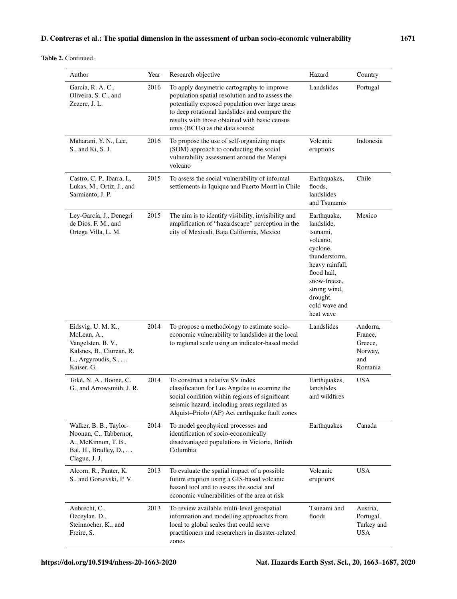Table 2. Continued.

| Author                                                                                                                         | Year | Research objective                                                                                                                                                                                                                                                                    | Hazard                                                                                                                                                                                     | Country                                                     |
|--------------------------------------------------------------------------------------------------------------------------------|------|---------------------------------------------------------------------------------------------------------------------------------------------------------------------------------------------------------------------------------------------------------------------------------------|--------------------------------------------------------------------------------------------------------------------------------------------------------------------------------------------|-------------------------------------------------------------|
| Garcia, R. A. C.,<br>Oliveira, S. C., and<br>Zezere, J. L.                                                                     | 2016 | To apply dasymetric cartography to improve<br>population spatial resolution and to assess the<br>potentially exposed population over large areas<br>to deep rotational landslides and compare the<br>results with those obtained with basic census<br>units (BCUs) as the data source | Landslides                                                                                                                                                                                 | Portugal                                                    |
| Maharani, Y. N., Lee,<br>S., and Ki, S. J.                                                                                     | 2016 | To propose the use of self-organizing maps<br>(SOM) approach to conducting the social<br>vulnerability assessment around the Merapi<br>volcano                                                                                                                                        | Volcanic<br>eruptions                                                                                                                                                                      | Indonesia                                                   |
| Castro, C. P., Ibarra, I.,<br>Lukas, M., Ortiz, J., and<br>Sarmiento, J. P.                                                    | 2015 | To assess the social vulnerability of informal<br>settlements in Iquique and Puerto Montt in Chile                                                                                                                                                                                    | Earthquakes,<br>floods,<br>landslides<br>and Tsunamis                                                                                                                                      | Chile                                                       |
| Ley-García, J., Denegri<br>de Dios, F. M., and<br>Ortega Villa, L. M.                                                          | 2015 | The aim is to identify visibility, invisibility and<br>amplification of "hazardscape" perception in the<br>city of Mexicali, Baja California, Mexico                                                                                                                                  | Earthquake,<br>landslide,<br>tsunami,<br>volcano,<br>cyclone,<br>thunderstorm,<br>heavy rainfall,<br>flood hail,<br>snow-freeze,<br>strong wind,<br>drought,<br>cold wave and<br>heat wave | Mexico                                                      |
| Eidsvig, U. M. K.,<br>McLean, A.,<br>Vangelsten, B. V.,<br>Kalsnes, B., Ciurean, R.<br>L., Argyroudis, S.,<br>Kaiser, G.       | 2014 | To propose a methodology to estimate socio-<br>economic vulnerability to landslides at the local<br>to regional scale using an indicator-based model                                                                                                                                  | Landslides                                                                                                                                                                                 | Andorra.<br>France,<br>Greece,<br>Norway,<br>and<br>Romania |
| Toké, N. A., Boone, C.<br>G., and Arrowsmith, J. R.                                                                            | 2014 | To construct a relative SV index<br>classification for Los Angeles to examine the<br>social condition within regions of significant<br>seismic hazard, including areas regulated as<br>Alquist-Priolo (AP) Act earthquake fault zones                                                 | Earthquakes,<br>landslides<br>and wildfires                                                                                                                                                | <b>USA</b>                                                  |
| Walker, B. B., Taylor-<br>Noonan, C., Tabbernor,<br>A., McKinnon, T. B.,<br>Bal, H., Bradley, $D_{1}, \ldots$<br>Clague, J. J. | 2014 | To model geophysical processes and<br>identification of socio-economically<br>disadvantaged populations in Victoria, British<br>Columbia                                                                                                                                              | Earthquakes                                                                                                                                                                                | Canada                                                      |
| Alcorn, R., Panter, K.<br>S., and Gorsevski, P. V.                                                                             | 2013 | To evaluate the spatial impact of a possible<br>future eruption using a GIS-based volcanic<br>hazard tool and to assess the social and<br>economic vulnerabilities of the area at risk                                                                                                | Volcanic<br>eruptions                                                                                                                                                                      | USA                                                         |
| Aubrecht, C.,<br>Özceylan, D.,<br>Steinnocher, K., and<br>Freire, S.                                                           | 2013 | To review available multi-level geospatial<br>information and modelling approaches from<br>local to global scales that could serve<br>practitioners and researchers in disaster-related<br>zones                                                                                      | Tsunami and<br>floods                                                                                                                                                                      | Austria,<br>Portugal,<br>Turkey and<br><b>USA</b>           |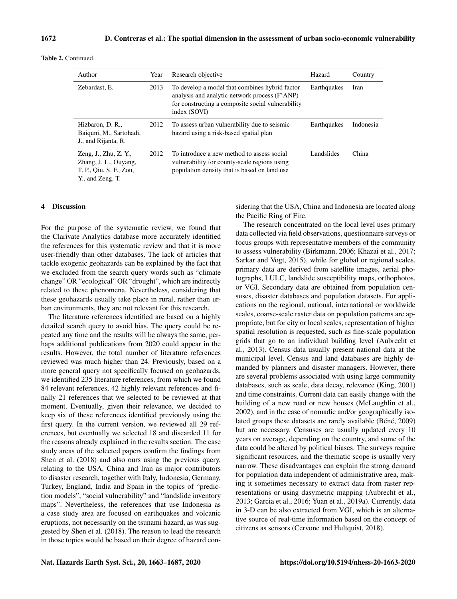| Author                                                                                        | Year | Research objective                                                                                                                                                   | Hazard      | Country     |
|-----------------------------------------------------------------------------------------------|------|----------------------------------------------------------------------------------------------------------------------------------------------------------------------|-------------|-------------|
| Zebardast, E.                                                                                 | 2013 | To develop a model that combines hybrid factor<br>analysis and analytic network process (F'ANP)<br>for constructing a composite social vulnerability<br>index (SOVI) | Earthquakes | <b>Iran</b> |
| Hizbaron, D. R.,<br>Baiquni, M., Sartohadi,<br>J., and Rijanta, R.                            | 2012 | To assess urban vulnerability due to seismic<br>hazard using a risk-based spatial plan                                                                               | Earthquakes | Indonesia   |
| Zeng, J., Zhu, Z. Y.,<br>Zhang, J. L., Ouyang,<br>T. P., Oiu, S. F., Zou,<br>Y., and Zeng, T. | 2012 | To introduce a new method to assess social<br>vulnerability for county-scale regions using<br>population density that is based on land use                           | Landslides  | China       |

#### 4 Discussion

For the purpose of the systematic review, we found that the Clarivate Analytics database more accurately identified the references for this systematic review and that it is more user-friendly than other databases. The lack of articles that tackle exogenic geohazards can be explained by the fact that we excluded from the search query words such as "climate change" OR "ecological" OR "drought", which are indirectly related to these phenomena. Nevertheless, considering that these geohazards usually take place in rural, rather than urban environments, they are not relevant for this research.

The literature references identified are based on a highly detailed search query to avoid bias. The query could be repeated any time and the results will be always the same, perhaps additional publications from 2020 could appear in the results. However, the total number of literature references reviewed was much higher than 24. Previously, based on a more general query not specifically focused on geohazards, we identified 235 literature references, from which we found 84 relevant references, 42 highly relevant references and finally 21 references that we selected to be reviewed at that moment. Eventually, given their relevance, we decided to keep six of these references identified previously using the first query. In the current version, we reviewed all 29 references, but eventually we selected 18 and discarded 11 for the reasons already explained in the results section. The case study areas of the selected papers confirm the findings from Shen et al. (2018) and also ours using the previous query, relating to the USA, China and Iran as major contributors to disaster research, together with Italy, Indonesia, Germany, Turkey, England, India and Spain in the topics of "prediction models", "social vulnerability" and "landslide inventory maps". Nevertheless, the references that use Indonesia as a case study area are focused on earthquakes and volcanic eruptions, not necessarily on the tsunami hazard, as was suggested by Shen et al. (2018). The reason to lead the research in those topics would be based on their degree of hazard considering that the USA, China and Indonesia are located along the Pacific Ring of Fire.

The research concentrated on the local level uses primary data collected via field observations, questionnaire surveys or focus groups with representative members of the community to assess vulnerability (Birkmann, 2006; Khazai et al., 2017; Sarkar and Vogt, 2015), while for global or regional scales, primary data are derived from satellite images, aerial photographs, LULC, landslide susceptibility maps, orthophotos, or VGI. Secondary data are obtained from population censuses, disaster databases and population datasets. For applications on the regional, national, international or worldwide scales, coarse-scale raster data on population patterns are appropriate, but for city or local scales, representation of higher spatial resolution is requested, such as fine-scale population grids that go to an individual building level (Aubrecht et al., 2013). Census data usually present national data at the municipal level. Census and land databases are highly demanded by planners and disaster managers. However, there are several problems associated with using large community databases, such as scale, data decay, relevance (King, 2001) and time constraints. Current data can easily change with the building of a new road or new houses (McLaughlin et al., 2002), and in the case of nomadic and/or geographically isolated groups these datasets are rarely available (Béné, 2009) but are necessary. Censuses are usually updated every 10 years on average, depending on the country, and some of the data could be altered by political biases. The surveys require significant resources, and the thematic scope is usually very narrow. These disadvantages can explain the strong demand for population data independent of administrative area, making it sometimes necessary to extract data from raster representations or using dasymetric mapping (Aubrecht et al., 2013; Garcia et al., 2016; Yuan et al., 2019a). Currently, data in 3-D can be also extracted from VGI, which is an alternative source of real-time information based on the concept of citizens as sensors (Cervone and Hultquist, 2018).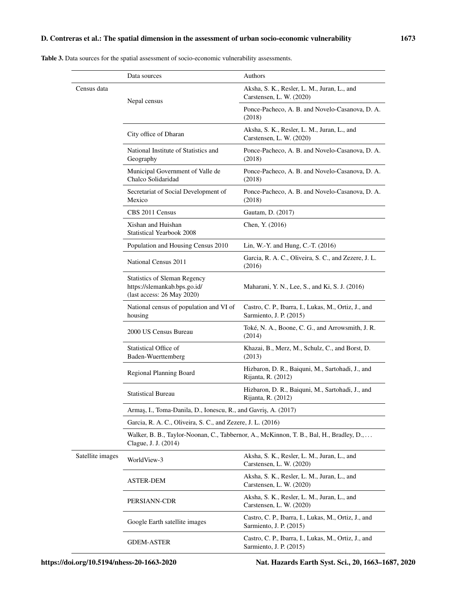Table 3. Data sources for the spatial assessment of socio-economic vulnerability assessments.

|                  | Data sources                                                                                                    | Authors                                                                         |  |  |
|------------------|-----------------------------------------------------------------------------------------------------------------|---------------------------------------------------------------------------------|--|--|
| Census data      | Nepal census                                                                                                    | Aksha, S. K., Resler, L. M., Juran, L., and<br>Carstensen, L. W. (2020)         |  |  |
|                  |                                                                                                                 | Ponce-Pacheco, A. B. and Novelo-Casanova, D. A.<br>(2018)                       |  |  |
|                  | City office of Dharan                                                                                           | Aksha, S. K., Resler, L. M., Juran, L., and<br>Carstensen, L. W. (2020)         |  |  |
|                  | National Institute of Statistics and<br>Geography                                                               | Ponce-Pacheco, A. B. and Novelo-Casanova, D. A.<br>(2018)                       |  |  |
|                  | Municipal Government of Valle de<br>Chalco Solidaridad                                                          | Ponce-Pacheco, A. B. and Novelo-Casanova, D. A.<br>(2018)                       |  |  |
|                  | Secretariat of Social Development of<br>Mexico                                                                  | Ponce-Pacheco, A. B. and Novelo-Casanova, D. A.<br>(2018)                       |  |  |
|                  | CBS 2011 Census                                                                                                 | Gautam, D. (2017)                                                               |  |  |
|                  | Xishan and Huishan<br><b>Statistical Yearbook 2008</b>                                                          | Chen, Y. (2016)                                                                 |  |  |
|                  | Population and Housing Census 2010                                                                              | Lin, W.-Y. and Hung, C.-T. (2016)                                               |  |  |
|                  | National Census 2011                                                                                            | Garcia, R. A. C., Oliveira, S. C., and Zezere, J. L.<br>(2016)                  |  |  |
|                  | <b>Statistics of Sleman Regency</b><br>https://slemankab.bps.go.id/<br>(last access: 26 May 2020)               | Maharani, Y. N., Lee, S., and Ki, S. J. (2016)                                  |  |  |
|                  | National census of population and VI of<br>housing                                                              | Castro, C. P., Ibarra, I., Lukas, M., Ortiz, J., and<br>Sarmiento, J. P. (2015) |  |  |
|                  | 2000 US Census Bureau                                                                                           | Toké, N. A., Boone, C. G., and Arrowsmith, J. R.<br>(2014)                      |  |  |
|                  | <b>Statistical Office of</b><br>Baden-Wuerttemberg                                                              | Khazai, B., Merz, M., Schulz, C., and Borst, D.<br>(2013)                       |  |  |
|                  | Regional Planning Board                                                                                         | Hizbaron, D. R., Baiquni, M., Sartohadi, J., and<br>Rijanta, R. (2012)          |  |  |
|                  | <b>Statistical Bureau</b>                                                                                       | Hizbaron, D. R., Baiquni, M., Sartohadi, J., and<br>Rijanta, R. (2012)          |  |  |
|                  | Armas, I., Toma-Danila, D., Ionescu, R., and Gavris, A. (2017)                                                  |                                                                                 |  |  |
|                  | Garcia, R. A. C., Oliveira, S. C., and Zezere, J. L. (2016)                                                     |                                                                                 |  |  |
|                  | Walker, B. B., Taylor-Noonan, C., Tabbernor, A., McKinnon, T. B., Bal, H., Bradley, D.,<br>Clague, J. J. (2014) |                                                                                 |  |  |
| Satellite images | WorldView-3                                                                                                     | Aksha, S. K., Resler, L. M., Juran, L., and<br>Carstensen, L. W. (2020)         |  |  |
|                  | ASTER-DEM                                                                                                       | Aksha, S. K., Resler, L. M., Juran, L., and<br>Carstensen, L. W. (2020)         |  |  |
|                  | PERSIANN-CDR                                                                                                    | Aksha, S. K., Resler, L. M., Juran, L., and<br>Carstensen, L. W. (2020)         |  |  |
|                  | Google Earth satellite images                                                                                   | Castro, C. P., Ibarra, I., Lukas, M., Ortiz, J., and<br>Sarmiento, J. P. (2015) |  |  |
|                  | <b>GDEM-ASTER</b>                                                                                               | Castro, C. P., Ibarra, I., Lukas, M., Ortiz, J., and<br>Sarmiento, J. P. (2015) |  |  |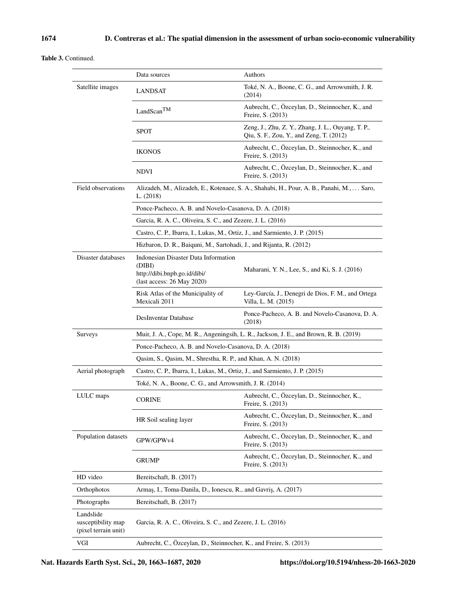## Table 3. Continued.

|                                                         | Data sources                                                                                                 | Authors                                                                                        |  |  |
|---------------------------------------------------------|--------------------------------------------------------------------------------------------------------------|------------------------------------------------------------------------------------------------|--|--|
| Satellite images                                        | LANDSAT                                                                                                      | Toké, N. A., Boone, C. G., and Arrowsmith, J. R.<br>(2014)                                     |  |  |
|                                                         | LandScan <sup>TM</sup>                                                                                       | Aubrecht, C., Özceylan, D., Steinnocher, K., and<br>Freire, S. (2013)                          |  |  |
|                                                         | <b>SPOT</b>                                                                                                  | Zeng, J., Zhu, Z. Y., Zhang, J. L., Ouyang, T. P.,<br>Qiu, S. F., Zou, Y., and Zeng, T. (2012) |  |  |
|                                                         | <b>IKONOS</b>                                                                                                | Aubrecht, C., Özceylan, D., Steinnocher, K., and<br>Freire, S. (2013)                          |  |  |
|                                                         | <b>NDVI</b>                                                                                                  | Aubrecht, C., Özceylan, D., Steinnocher, K., and<br>Freire, S. (2013)                          |  |  |
| Field observations                                      | L. (2018)                                                                                                    | Alizadeh, M., Alizadeh, E., Kotenaee, S. A., Shahabi, H., Pour, A. B., Panahi, M.,  Saro,      |  |  |
|                                                         | Ponce-Pacheco, A. B. and Novelo-Casanova, D. A. (2018)                                                       |                                                                                                |  |  |
|                                                         | Garcia, R. A. C., Oliveira, S. C., and Zezere, J. L. (2016)                                                  |                                                                                                |  |  |
|                                                         | Castro, C. P., Ibarra, I., Lukas, M., Ortiz, J., and Sarmiento, J. P. (2015)                                 |                                                                                                |  |  |
|                                                         | Hizbaron, D. R., Baiquni, M., Sartohadi, J., and Rijanta, R. (2012)                                          |                                                                                                |  |  |
| Disaster databases                                      | Indonesian Disaster Data Information<br>(DIBI)<br>http://dibi.bnpb.go.id/dibi/<br>(last access: 26 May 2020) | Maharani, Y. N., Lee, S., and Ki, S. J. (2016)                                                 |  |  |
|                                                         | Risk Atlas of the Municipality of<br>Mexicali 2011                                                           | Ley-García, J., Denegri de Dios, F. M., and Ortega<br>Villa, L. M. (2015)                      |  |  |
|                                                         | <b>DesInventar Database</b>                                                                                  | Ponce-Pacheco, A. B. and Novelo-Casanova, D. A.<br>(2018)                                      |  |  |
| <b>Surveys</b>                                          |                                                                                                              | Muir, J. A., Cope, M. R., Angeningsih, L. R., Jackson, J. E., and Brown, R. B. (2019)          |  |  |
|                                                         | Ponce-Pacheco, A. B. and Novelo-Casanova, D. A. (2018)                                                       |                                                                                                |  |  |
|                                                         | Qasim, S., Qasim, M., Shrestha, R. P., and Khan, A. N. (2018)                                                |                                                                                                |  |  |
|                                                         |                                                                                                              |                                                                                                |  |  |
| Aerial photograph                                       | Castro, C. P., Ibarra, I., Lukas, M., Ortiz, J., and Sarmiento, J. P. (2015)                                 |                                                                                                |  |  |
|                                                         | Toké, N. A., Boone, C. G., and Arrowsmith, J. R. (2014)                                                      |                                                                                                |  |  |
| LULC maps                                               | <b>CORINE</b>                                                                                                | Aubrecht, C., Özceylan, D., Steinnocher, K.,<br>Freire, S. (2013)                              |  |  |
|                                                         | HR Soil sealing layer                                                                                        | Aubrecht, C., Özceylan, D., Steinnocher, K., and<br>Freire, S. (2013)                          |  |  |
| Population datasets                                     | GPW/GPWv4                                                                                                    | Aubrecht, C., Özceylan, D., Steinnocher, K., and<br>Freire, S. (2013)                          |  |  |
|                                                         | <b>GRUMP</b>                                                                                                 | Aubrecht, C., Özceylan, D., Steinnocher, K., and<br>Freire, S. (2013)                          |  |  |
| HD video                                                | Bereitschaft, B. (2017)                                                                                      |                                                                                                |  |  |
| Orthophotos                                             | Armaş, I., Toma-Danila, D., Ionescu, R., and Gavriş, A. (2017)                                               |                                                                                                |  |  |
| Photographs                                             | Bereitschaft, B. (2017)                                                                                      |                                                                                                |  |  |
| Landslide<br>susceptibility map<br>(pixel terrain unit) | Garcia, R. A. C., Oliveira, S. C., and Zezere, J. L. (2016)                                                  |                                                                                                |  |  |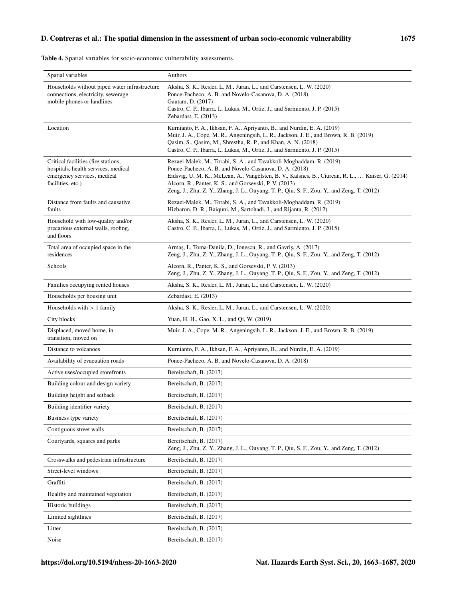| Spatial variables                                                                                                              | Authors                                                                                                                                                                                                                                                                                                                                                                                     |
|--------------------------------------------------------------------------------------------------------------------------------|---------------------------------------------------------------------------------------------------------------------------------------------------------------------------------------------------------------------------------------------------------------------------------------------------------------------------------------------------------------------------------------------|
| Households without piped water infrastructure<br>connections, electricity, sewerage<br>mobile phones or landlines              | Aksha, S. K., Resler, L. M., Juran, L., and Carstensen, L. W. (2020)<br>Ponce-Pacheco, A. B. and Novelo-Casanova, D. A. (2018)<br>Gautam, D. (2017)<br>Castro, C. P., Ibarra, I., Lukas, M., Ortiz, J., and Sarmiento, J. P. (2015)<br>Zebardast, E. (2013)                                                                                                                                 |
| Location                                                                                                                       | Kurnianto, F. A., Ikhsan, F. A., Apriyanto, B., and Nurdin, E. A. (2019)<br>Muir, J. A., Cope, M. R., Angeningsih, L. R., Jackson, J. E., and Brown, R. B. (2019)<br>Qasim, S., Qasim, M., Shrestha, R. P., and Khan, A. N. (2018)<br>Castro, C. P., Ibarra, I., Lukas, M., Ortiz, J., and Sarmiento, J. P. (2015)                                                                          |
| Critical facilities (fire stations,<br>hospitals, health services, medical<br>emergency services, medical<br>facilities, etc.) | Rezaei-Malek, M., Torabi, S. A., and Tavakkoli-Moghaddam, R. (2019)<br>Ponce-Pacheco, A. B. and Novelo-Casanova, D. A. (2018)<br>Eidsvig, U. M. K., McLean, A., Vangelsten, B. V., Kalsnes, B., Ciurean, R. L.,  Kaiser, G. (2014)<br>Alcorn, R., Panter, K. S., and Gorsevski, P. V. (2013)<br>Zeng, J., Zhu, Z. Y., Zhang, J. L., Ouyang, T. P., Qiu, S. F., Zou, Y., and Zeng, T. (2012) |
| Distance from faults and causative<br>faults                                                                                   | Rezaei-Malek, M., Torabi, S. A., and Tavakkoli-Moghaddam, R. (2019)<br>Hizbaron, D. R., Baiquni, M., Sartohadi, J., and Rijanta, R. (2012)                                                                                                                                                                                                                                                  |
| Household with low-quality and/or<br>precarious external walls, roofing,<br>and floors                                         | Aksha, S. K., Resler, L. M., Juran, L., and Carstensen, L. W. (2020)<br>Castro, C. P., Ibarra, I., Lukas, M., Ortiz, J., and Sarmiento, J. P. (2015)                                                                                                                                                                                                                                        |
| Total area of occupied space in the<br>residences                                                                              | Armaş, I., Toma-Danila, D., Ionescu, R., and Gavriş, A. (2017)<br>Zeng, J., Zhu, Z. Y., Zhang, J. L., Ouyang, T. P., Qiu, S. F., Zou, Y., and Zeng, T. (2012)                                                                                                                                                                                                                               |
| Schools                                                                                                                        | Alcorn, R., Panter, K. S., and Gorsevski, P. V. (2013)<br>Zeng, J., Zhu, Z. Y., Zhang, J. L., Ouyang, T. P., Qiu, S. F., Zou, Y., and Zeng, T. (2012)                                                                                                                                                                                                                                       |
| Families occupying rented houses                                                                                               | Aksha, S. K., Resler, L. M., Juran, L., and Carstensen, L. W. (2020)                                                                                                                                                                                                                                                                                                                        |
| Households per housing unit                                                                                                    | Zebardast, E. (2013)                                                                                                                                                                                                                                                                                                                                                                        |
| Households with $> 1$ family                                                                                                   | Aksha, S. K., Resler, L. M., Juran, L., and Carstensen, L. W. (2020)                                                                                                                                                                                                                                                                                                                        |
| City blocks                                                                                                                    | Yuan, H. H., Gao, X. L., and Qi, W. (2019)                                                                                                                                                                                                                                                                                                                                                  |
| Displaced, moved home, in<br>transition, moved on                                                                              | Muir, J. A., Cope, M. R., Angeningsih, L. R., Jackson, J. E., and Brown, R. B. (2019)                                                                                                                                                                                                                                                                                                       |
| Distance to volcanoes                                                                                                          | Kurnianto, F. A., Ikhsan, F. A., Apriyanto, B., and Nurdin, E. A. (2019)                                                                                                                                                                                                                                                                                                                    |
| Availability of evacuation roads                                                                                               | Ponce-Pacheco, A. B. and Novelo-Casanova, D. A. (2018)                                                                                                                                                                                                                                                                                                                                      |
| Active uses/occupied storefronts                                                                                               | Bereitschaft, B. (2017)                                                                                                                                                                                                                                                                                                                                                                     |
| Building colour and design variety                                                                                             | Bereitschaft, B. (2017)                                                                                                                                                                                                                                                                                                                                                                     |
| Building height and setback                                                                                                    | Bereitschaft, B. (2017)                                                                                                                                                                                                                                                                                                                                                                     |
| Building identifier variety                                                                                                    | Bereitschaft, B. (2017)                                                                                                                                                                                                                                                                                                                                                                     |
| Business type variety                                                                                                          | Bereitschaft, B. (2017)                                                                                                                                                                                                                                                                                                                                                                     |
| Contiguous street walls                                                                                                        | Bereitschaft, B. (2017)                                                                                                                                                                                                                                                                                                                                                                     |
| Courtyards, squares and parks                                                                                                  | Bereitschaft, B. (2017)<br>Zeng, J., Zhu, Z. Y., Zhang, J. L., Ouyang, T. P., Qiu, S. F., Zou, Y., and Zeng, T. (2012)                                                                                                                                                                                                                                                                      |
| Crosswalks and pedestrian infrastructure                                                                                       | Bereitschaft, B. (2017)                                                                                                                                                                                                                                                                                                                                                                     |
| Street-level windows                                                                                                           | Bereitschaft, B. (2017)                                                                                                                                                                                                                                                                                                                                                                     |
| Graffiti                                                                                                                       | Bereitschaft, B. (2017)                                                                                                                                                                                                                                                                                                                                                                     |
| Healthy and maintained vegetation                                                                                              | Bereitschaft, B. (2017)                                                                                                                                                                                                                                                                                                                                                                     |
| Historic buildings                                                                                                             | Bereitschaft, B. (2017)                                                                                                                                                                                                                                                                                                                                                                     |
| Limited sightlines                                                                                                             | Bereitschaft, B. (2017)                                                                                                                                                                                                                                                                                                                                                                     |
| Litter                                                                                                                         | Bereitschaft, B. (2017)                                                                                                                                                                                                                                                                                                                                                                     |
| Noise                                                                                                                          | Bereitschaft, B. (2017)                                                                                                                                                                                                                                                                                                                                                                     |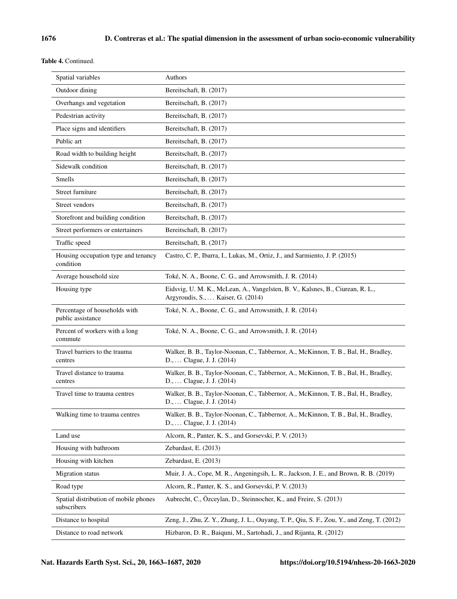Table 4. Continued.

| Spatial variables                                    | Authors                                                                                                                     |
|------------------------------------------------------|-----------------------------------------------------------------------------------------------------------------------------|
| Outdoor dining                                       | Bereitschaft, B. (2017)                                                                                                     |
| Overhangs and vegetation                             | Bereitschaft, B. (2017)                                                                                                     |
| Pedestrian activity                                  | Bereitschaft, B. (2017)                                                                                                     |
| Place signs and identifiers                          | Bereitschaft, B. (2017)                                                                                                     |
| Public art                                           | Bereitschaft, B. (2017)                                                                                                     |
| Road width to building height                        | Bereitschaft, B. (2017)                                                                                                     |
| Sidewalk condition                                   | Bereitschaft, B. (2017)                                                                                                     |
| Smells                                               | Bereitschaft, B. (2017)                                                                                                     |
| Street furniture                                     | Bereitschaft, B. (2017)                                                                                                     |
| Street vendors                                       | Bereitschaft, B. (2017)                                                                                                     |
| Storefront and building condition                    | Bereitschaft, B. (2017)                                                                                                     |
| Street performers or entertainers                    | Bereitschaft, B. (2017)                                                                                                     |
| Traffic speed                                        | Bereitschaft, B. (2017)                                                                                                     |
| Housing occupation type and tenancy<br>condition     | Castro, C. P., Ibarra, I., Lukas, M., Ortiz, J., and Sarmiento, J. P. (2015)                                                |
| Average household size                               | Toké, N. A., Boone, C. G., and Arrowsmith, J. R. (2014)                                                                     |
| Housing type                                         | Eidsvig, U. M. K., McLean, A., Vangelsten, B. V., Kalsnes, B., Ciurean, R. L.,<br>Argyroudis, S.,  Kaiser, G. (2014)        |
| Percentage of households with<br>public assistance   | Toké, N. A., Boone, C. G., and Arrowsmith, J. R. (2014)                                                                     |
| Percent of workers with a long<br>commute            | Toké, N. A., Boone, C. G., and Arrowsmith, J. R. (2014)                                                                     |
| Travel barriers to the trauma<br>centres             | Walker, B. B., Taylor-Noonan, C., Tabbernor, A., McKinnon, T. B., Bal, H., Bradley,<br>D.,  Clague, J. J. (2014)            |
| Travel distance to trauma<br>centres                 | Walker, B. B., Taylor-Noonan, C., Tabbernor, A., McKinnon, T. B., Bal, H., Bradley,<br>D.,  Clague, J. J. (2014)            |
| Travel time to trauma centres                        | Walker, B. B., Taylor-Noonan, C., Tabbernor, A., McKinnon, T. B., Bal, H., Bradley,<br>D.,  Clague, J. J. (2014)            |
| Walking time to trauma centres                       | Walker, B. B., Taylor-Noonan, C., Tabbernor, A., McKinnon, T. B., Bal, H., Bradley,<br>$D_{1}, \ldots$ Clague, J. J. (2014) |
| Land use                                             | Alcorn, R., Panter, K. S., and Gorsevski, P. V. (2013)                                                                      |
| Housing with bathroom                                | Zebardast, E. (2013)                                                                                                        |
| Housing with kitchen                                 | Zebardast, E. (2013)                                                                                                        |
| Migration status                                     | Muir, J. A., Cope, M. R., Angeningsih, L. R., Jackson, J. E., and Brown, R. B. (2019)                                       |
| Road type                                            | Alcorn, R., Panter, K. S., and Gorsevski, P. V. (2013)                                                                      |
| Spatial distribution of mobile phones<br>subscribers | Aubrecht, C., Özceylan, D., Steinnocher, K., and Freire, S. (2013)                                                          |
| Distance to hospital                                 | Zeng, J., Zhu, Z. Y., Zhang, J. L., Ouyang, T. P., Qiu, S. F., Zou, Y., and Zeng, T. (2012)                                 |
| Distance to road network                             | Hizbaron, D. R., Baiquni, M., Sartohadi, J., and Rijanta, R. (2012)                                                         |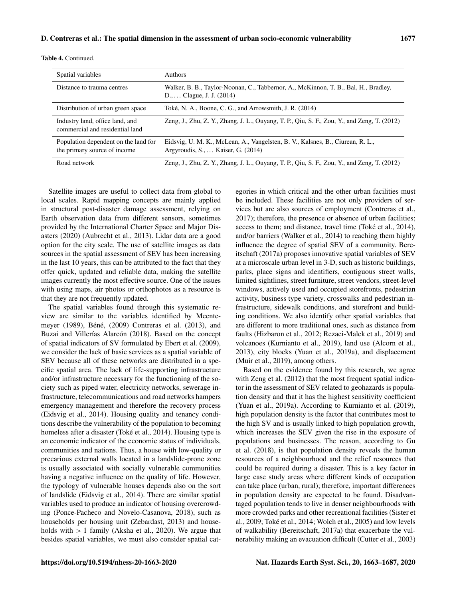| <b>Table 4. Continued.</b> |
|----------------------------|
|----------------------------|

| Spatial variables                                                    | <b>Authors</b>                                                                                                                  |
|----------------------------------------------------------------------|---------------------------------------------------------------------------------------------------------------------------------|
| Distance to trauma centres                                           | Walker, B. B., Taylor-Noonan, C., Tabbernor, A., McKinnon, T. B., Bal, H., Bradley,<br>$D_{1}, \ldots$ Clague, J. J. (2014)     |
| Distribution of urban green space                                    | Toké, N. A., Boone, C. G., and Arrowsmith, J. R. (2014)                                                                         |
| Industry land, office land, and<br>commercial and residential land   | Zeng, J., Zhu, Z. Y., Zhang, J. L., Ouyang, T. P., Qiu, S. F., Zou, Y., and Zeng, T. (2012)                                     |
| Population dependent on the land for<br>the primary source of income | Eidsvig, U. M. K., McLean, A., Vangelsten, B. V., Kalsnes, B., Ciurean, R. L.,<br>Argyroudis, $S_{1}, \ldots$ Kaiser, G. (2014) |
| Road network                                                         | Zeng, J., Zhu, Z. Y., Zhang, J. L., Ouyang, T. P., Qiu, S. F., Zou, Y., and Zeng, T. (2012)                                     |

Satellite images are useful to collect data from global to local scales. Rapid mapping concepts are mainly applied in structural post-disaster damage assessment, relying on Earth observation data from different sensors, sometimes provided by the International Charter Space and Major Disasters (2020) (Aubrecht et al., 2013). Lidar data are a good option for the city scale. The use of satellite images as data sources in the spatial assessment of SEV has been increasing in the last 10 years, this can be attributed to the fact that they offer quick, updated and reliable data, making the satellite images currently the most effective source. One of the issues with using maps, air photos or orthophotos as a resource is that they are not frequently updated.

The spatial variables found through this systematic review are similar to the variables identified by Meentemeyer (1989), Béné, (2009) Contreras et al. (2013), and Buzai and Villerías Alarcón (2018). Based on the concept of spatial indicators of SV formulated by Ebert et al. (2009), we consider the lack of basic services as a spatial variable of SEV because all of these networks are distributed in a specific spatial area. The lack of life-supporting infrastructure and/or infrastructure necessary for the functioning of the society such as piped water, electricity networks, sewerage infrastructure, telecommunications and road networks hampers emergency management and therefore the recovery process (Eidsvig et al., 2014). Housing quality and tenancy conditions describe the vulnerability of the population to becoming homeless after a disaster (Toké et al., 2014). Housing type is an economic indicator of the economic status of individuals, communities and nations. Thus, a house with low-quality or precarious external walls located in a landslide-prone zone is usually associated with socially vulnerable communities having a negative influence on the quality of life. However, the typology of vulnerable houses depends also on the sort of landslide (Eidsvig et al., 2014). There are similar spatial variables used to produce an indicator of housing overcrowding (Ponce-Pacheco and Novelo-Casanova, 2018), such as households per housing unit (Zebardast, 2013) and households with  $> 1$  family (Aksha et al., 2020). We argue that besides spatial variables, we must also consider spatial categories in which critical and the other urban facilities must be included. These facilities are not only providers of services but are also sources of employment (Contreras et al., 2017); therefore, the presence or absence of urban facilities; access to them; and distance, travel time (Toké et al., 2014), and/or barriers (Walker et al., 2014) to reaching them highly influence the degree of spatial SEV of a community. Bereitschaft (2017a) proposes innovative spatial variables of SEV at a microscale urban level in 3-D, such as historic buildings, parks, place signs and identifiers, contiguous street walls, limited sightlines, street furniture, street vendors, street-level windows, actively used and occupied storefronts, pedestrian activity, business type variety, crosswalks and pedestrian infrastructure, sidewalk conditions, and storefront and building conditions. We also identify other spatial variables that are different to more traditional ones, such as distance from faults (Hizbaron et al., 2012; Rezaei-Malek et al., 2019) and volcanoes (Kurnianto et al., 2019), land use (Alcorn et al., 2013), city blocks (Yuan et al., 2019a), and displacement (Muir et al., 2019), among others.

Based on the evidence found by this research, we agree with Zeng et al. (2012) that the most frequent spatial indicator in the assessment of SEV related to geohazards is population density and that it has the highest sensitivity coefficient (Yuan et al., 2019a). According to Kurnianto et al. (2019), high population density is the factor that contributes most to the high SV and is usually linked to high population growth, which increases the SEV given the rise in the exposure of populations and businesses. The reason, according to Gu et al. (2018), is that population density reveals the human resources of a neighbourhood and the relief resources that could be required during a disaster. This is a key factor in large case study areas where different kinds of occupation can take place (urban, rural); therefore, important differences in population density are expected to be found. Disadvantaged population tends to live in denser neighbourhoods with more crowded parks and other recreational facilities (Sister et al., 2009; Toké et al., 2014; Wolch et al., 2005) and low levels of walkability (Bereitschaft, 2017a) that exacerbate the vulnerability making an evacuation difficult (Cutter et al., 2003)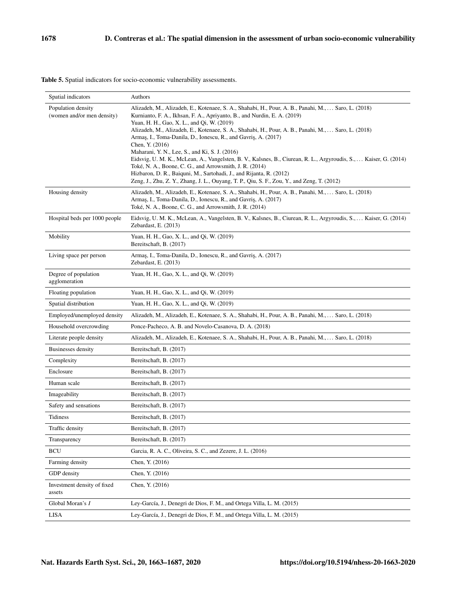| Spatial indicators                               | Authors                                                                                                                                                                                                                                                                                                                                                                                                                                                                                                                                                                                                                                                                                                                                                                                                                           |
|--------------------------------------------------|-----------------------------------------------------------------------------------------------------------------------------------------------------------------------------------------------------------------------------------------------------------------------------------------------------------------------------------------------------------------------------------------------------------------------------------------------------------------------------------------------------------------------------------------------------------------------------------------------------------------------------------------------------------------------------------------------------------------------------------------------------------------------------------------------------------------------------------|
| Population density<br>(women and/or men density) | Alizadeh, M., Alizadeh, E., Kotenaee, S. A., Shahabi, H., Pour, A. B., Panahi, M.,  Saro, L. (2018)<br>Kurnianto, F. A., Ikhsan, F. A., Apriyanto, B., and Nurdin, E. A. (2019)<br>Yuan, H. H., Gao, X. L., and Qi, W. (2019)<br>Alizadeh, M., Alizadeh, E., Kotenaee, S. A., Shahabi, H., Pour, A. B., Panahi, M.,  Saro, L. (2018)<br>Armaş, I., Toma-Danila, D., Ionescu, R., and Gavriş, A. (2017)<br>Chen, Y. (2016)<br>Maharani, Y. N., Lee, S., and Ki, S. J. (2016)<br>Eidsvig, U. M. K., McLean, A., Vangelsten, B. V., Kalsnes, B., Ciurean, R. L., Argyroudis, S.,  Kaiser, G. (2014)<br>Toké, N. A., Boone, C. G., and Arrowsmith, J. R. (2014)<br>Hizbaron, D. R., Baiquni, M., Sartohadi, J., and Rijanta, R. (2012)<br>Zeng, J., Zhu, Z. Y., Zhang, J. L., Ouyang, T. P., Qiu, S. F., Zou, Y., and Zeng, T. (2012) |
| Housing density                                  | Alizadeh, M., Alizadeh, E., Kotenaee, S. A., Shahabi, H., Pour, A. B., Panahi, M.,  Saro, L. (2018)<br>Armaş, I., Toma-Danila, D., Ionescu, R., and Gavriş, A. (2017)<br>Toké, N. A., Boone, C. G., and Arrowsmith, J. R. (2014)                                                                                                                                                                                                                                                                                                                                                                                                                                                                                                                                                                                                  |
| Hospital beds per 1000 people                    | Eidsvig, U. M. K., McLean, A., Vangelsten, B. V., Kalsnes, B., Ciurean, R. L., Argyroudis, S.,  Kaiser, G. (2014)<br>Zebardast, E. (2013)                                                                                                                                                                                                                                                                                                                                                                                                                                                                                                                                                                                                                                                                                         |
| Mobility                                         | Yuan, H. H., Gao, X. L., and Qi, W. (2019)<br>Bereitschaft, B. (2017)                                                                                                                                                                                                                                                                                                                                                                                                                                                                                                                                                                                                                                                                                                                                                             |
| Living space per person                          | Armaş, I., Toma-Danila, D., Ionescu, R., and Gavriş, A. (2017)<br>Zebardast, E. (2013)                                                                                                                                                                                                                                                                                                                                                                                                                                                                                                                                                                                                                                                                                                                                            |
| Degree of population<br>agglomeration            | Yuan, H. H., Gao, X. L., and Qi, W. (2019)                                                                                                                                                                                                                                                                                                                                                                                                                                                                                                                                                                                                                                                                                                                                                                                        |
| Floating population                              | Yuan, H. H., Gao, X. L., and Qi, W. (2019)                                                                                                                                                                                                                                                                                                                                                                                                                                                                                                                                                                                                                                                                                                                                                                                        |
| Spatial distribution                             | Yuan, H. H., Gao, X. L., and Qi, W. (2019)                                                                                                                                                                                                                                                                                                                                                                                                                                                                                                                                                                                                                                                                                                                                                                                        |
| Employed/unemployed density                      | Alizadeh, M., Alizadeh, E., Kotenaee, S. A., Shahabi, H., Pour, A. B., Panahi, M.,  Saro, L. (2018)                                                                                                                                                                                                                                                                                                                                                                                                                                                                                                                                                                                                                                                                                                                               |
| Household overcrowding                           | Ponce-Pacheco, A. B. and Novelo-Casanova, D. A. (2018)                                                                                                                                                                                                                                                                                                                                                                                                                                                                                                                                                                                                                                                                                                                                                                            |
| Literate people density                          | Alizadeh, M., Alizadeh, E., Kotenaee, S. A., Shahabi, H., Pour, A. B., Panahi, M.,  Saro, L. (2018)                                                                                                                                                                                                                                                                                                                                                                                                                                                                                                                                                                                                                                                                                                                               |
| Businesses density                               | Bereitschaft, B. (2017)                                                                                                                                                                                                                                                                                                                                                                                                                                                                                                                                                                                                                                                                                                                                                                                                           |
| Complexity                                       | Bereitschaft, B. (2017)                                                                                                                                                                                                                                                                                                                                                                                                                                                                                                                                                                                                                                                                                                                                                                                                           |
| Enclosure                                        | Bereitschaft, B. (2017)                                                                                                                                                                                                                                                                                                                                                                                                                                                                                                                                                                                                                                                                                                                                                                                                           |
| Human scale                                      | Bereitschaft, B. (2017)                                                                                                                                                                                                                                                                                                                                                                                                                                                                                                                                                                                                                                                                                                                                                                                                           |
| Imageability                                     | Bereitschaft, B. (2017)                                                                                                                                                                                                                                                                                                                                                                                                                                                                                                                                                                                                                                                                                                                                                                                                           |
| Safety and sensations                            | Bereitschaft, B. (2017)                                                                                                                                                                                                                                                                                                                                                                                                                                                                                                                                                                                                                                                                                                                                                                                                           |
| Tidiness                                         | Bereitschaft, B. (2017)                                                                                                                                                                                                                                                                                                                                                                                                                                                                                                                                                                                                                                                                                                                                                                                                           |
| Traffic density                                  | Bereitschaft, B. (2017)                                                                                                                                                                                                                                                                                                                                                                                                                                                                                                                                                                                                                                                                                                                                                                                                           |
| Transparency                                     | Bereitschaft, B. (2017)                                                                                                                                                                                                                                                                                                                                                                                                                                                                                                                                                                                                                                                                                                                                                                                                           |
| <b>BCU</b>                                       | Garcia, R. A. C., Oliveira, S. C., and Zezere, J. L. (2016)                                                                                                                                                                                                                                                                                                                                                                                                                                                                                                                                                                                                                                                                                                                                                                       |
| Farming density                                  | Chen, Y. (2016)                                                                                                                                                                                                                                                                                                                                                                                                                                                                                                                                                                                                                                                                                                                                                                                                                   |
| GDP density                                      | Chen, Y. (2016)                                                                                                                                                                                                                                                                                                                                                                                                                                                                                                                                                                                                                                                                                                                                                                                                                   |
| Investment density of fixed<br>assets            | Chen, Y. (2016)                                                                                                                                                                                                                                                                                                                                                                                                                                                                                                                                                                                                                                                                                                                                                                                                                   |
| Global Moran's I                                 | Ley-García, J., Denegri de Dios, F. M., and Ortega Villa, L. M. (2015)                                                                                                                                                                                                                                                                                                                                                                                                                                                                                                                                                                                                                                                                                                                                                            |
| LISA                                             | Ley-García, J., Denegri de Dios, F. M., and Ortega Villa, L. M. (2015)                                                                                                                                                                                                                                                                                                                                                                                                                                                                                                                                                                                                                                                                                                                                                            |

Table 5. Spatial indicators for socio-economic vulnerability assessments.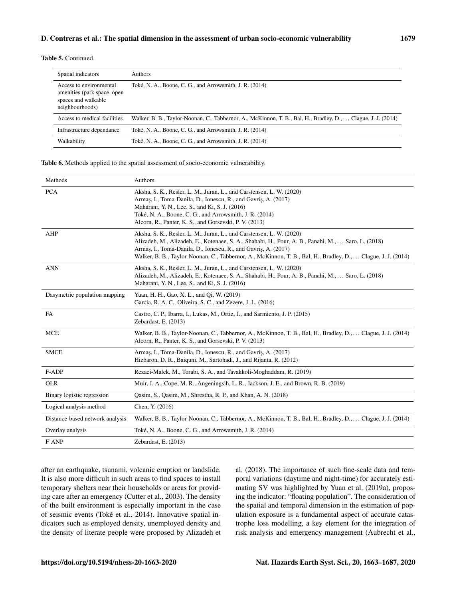#### Table 5. Continued.

| Spatial indicators                                                                               | <b>Authors</b>                                                                                                |
|--------------------------------------------------------------------------------------------------|---------------------------------------------------------------------------------------------------------------|
| Access to environmental<br>amenities (park space, open<br>spaces and walkable<br>neighbourhoods) | Toké, N. A., Boone, C. G., and Arrowsmith, J. R. (2014)                                                       |
| Access to medical facilities                                                                     | Walker, B. B., Taylor-Noonan, C., Tabbernor, A., McKinnon, T. B., Bal, H., Bradley, D.,  Clague, J. J. (2014) |
| Infrastructure dependance                                                                        | Toké, N. A., Boone, C. G., and Arrowsmith, J. R. (2014)                                                       |
| Walkability                                                                                      | Toké, N. A., Boone, C. G., and Arrowsmith, J. R. (2014)                                                       |

Table 6. Methods applied to the spatial assessment of socio-economic vulnerability.

| Methods                         | Authors                                                                                                                                                                                                                                                                                                                                                        |
|---------------------------------|----------------------------------------------------------------------------------------------------------------------------------------------------------------------------------------------------------------------------------------------------------------------------------------------------------------------------------------------------------------|
| <b>PCA</b>                      | Aksha, S. K., Resler, L. M., Juran, L., and Carstensen, L. W. (2020)<br>Armas, I., Toma-Danila, D., Ionescu, R., and Gavris, A. (2017)<br>Maharani, Y. N., Lee, S., and Ki, S. J. (2016)<br>Toké, N. A., Boone, C. G., and Arrowsmith, J. R. (2014)<br>Alcorn, R., Panter, K. S., and Gorsevski, P. V. (2013)                                                  |
| AHP                             | Aksha, S. K., Resler, L. M., Juran, L., and Carstensen, L. W. (2020)<br>Alizadeh, M., Alizadeh, E., Kotenaee, S. A., Shahabi, H., Pour, A. B., Panahi, M.,  Saro, L. (2018)<br>Armas, I., Toma-Danila, D., Ionescu, R., and Gavris, A. (2017)<br>Walker, B. B., Taylor-Noonan, C., Tabbernor, A., McKinnon, T. B., Bal, H., Bradley, D.,  Clague, J. J. (2014) |
| <b>ANN</b>                      | Aksha, S. K., Resler, L. M., Juran, L., and Carstensen, L. W. (2020)<br>Alizadeh, M., Alizadeh, E., Kotenaee, S. A., Shahabi, H., Pour, A. B., Panahi, M.,  Saro, L. (2018)<br>Maharani, Y. N., Lee, S., and Ki, S. J. (2016)                                                                                                                                  |
| Dasymetric population mapping   | Yuan, H. H., Gao, X. L., and Qi, W. (2019)<br>Garcia, R. A. C., Oliveira, S. C., and Zezere, J. L. (2016)                                                                                                                                                                                                                                                      |
| <b>FA</b>                       | Castro, C. P., Ibarra, I., Lukas, M., Ortiz, J., and Sarmiento, J. P. (2015)<br>Zebardast, E. (2013)                                                                                                                                                                                                                                                           |
| <b>MCE</b>                      | Walker, B. B., Taylor-Noonan, C., Tabbernor, A., McKinnon, T. B., Bal, H., Bradley, D.,  Clague, J. J. (2014)<br>Alcorn, R., Panter, K. S., and Gorsevski, P. V. (2013)                                                                                                                                                                                        |
| <b>SMCE</b>                     | Armas, I., Toma-Danila, D., Ionescu, R., and Gavris, A. (2017)<br>Hizbaron, D. R., Baiquni, M., Sartohadi, J., and Rijanta, R. (2012)                                                                                                                                                                                                                          |
| F-ADP                           | Rezaei-Malek, M., Torabi, S. A., and Tavakkoli-Moghaddam, R. (2019)                                                                                                                                                                                                                                                                                            |
| <b>OLR</b>                      | Muir, J. A., Cope, M. R., Angeningsih, L. R., Jackson, J. E., and Brown, R. B. (2019)                                                                                                                                                                                                                                                                          |
| Binary logistic regression      | Qasim, S., Qasim, M., Shrestha, R. P., and Khan, A. N. (2018)                                                                                                                                                                                                                                                                                                  |
| Logical analysis method         | Chen, Y. (2016)                                                                                                                                                                                                                                                                                                                                                |
| Distance-based network analysis | Walker, B. B., Taylor-Noonan, C., Tabbernor, A., McKinnon, T. B., Bal, H., Bradley, D.,  Clague, J. J. (2014)                                                                                                                                                                                                                                                  |
| Overlay analysis                | Toké, N. A., Boone, C. G., and Arrowsmith, J. R. (2014)                                                                                                                                                                                                                                                                                                        |
| F'ANP                           | Zebardast, E. (2013)                                                                                                                                                                                                                                                                                                                                           |

after an earthquake, tsunami, volcanic eruption or landslide. It is also more difficult in such areas to find spaces to install temporary shelters near their households or areas for providing care after an emergency (Cutter et al., 2003). The density of the built environment is especially important in the case of seismic events (Toké et al., 2014). Innovative spatial indicators such as employed density, unemployed density and the density of literate people were proposed by Alizadeh et al. (2018). The importance of such fine-scale data and temporal variations (daytime and night-time) for accurately estimating SV was highlighted by Yuan et al. (2019a), proposing the indicator: "floating population". The consideration of the spatial and temporal dimension in the estimation of population exposure is a fundamental aspect of accurate catastrophe loss modelling, a key element for the integration of risk analysis and emergency management (Aubrecht et al.,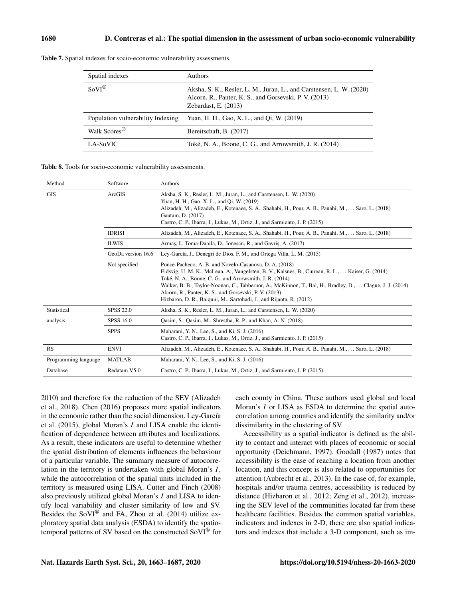| Spatial indexes                   | <b>Authors</b>                                                                                                                                         |
|-----------------------------------|--------------------------------------------------------------------------------------------------------------------------------------------------------|
| $SovI^{\circledR}$                | Aksha, S. K., Resler, L. M., Juran, L., and Carstensen, L. W. (2020)<br>Alcorn, R., Panter, K. S., and Gorsevski, P. V. (2013)<br>Zebardast, E. (2013) |
| Population vulnerability Indexing | Yuan, H. H., Gao, X. L., and Oi, W. (2019)                                                                                                             |
| Walk Scores <sup>®</sup>          | Bereitschaft, B. (2017)                                                                                                                                |
| LA-SoVIC                          | Toké, N. A., Boone, C. G., and Arrowsmith, J. R. (2014)                                                                                                |

Table 7. Spatial indexes for socio-economic vulnerability assessments.

Table 8. Tools for socio-economic vulnerability assessments.

| Method               | Software           | Authors                                                                                                                                                                                                                                                                                                                                                                                                                                                               |
|----------------------|--------------------|-----------------------------------------------------------------------------------------------------------------------------------------------------------------------------------------------------------------------------------------------------------------------------------------------------------------------------------------------------------------------------------------------------------------------------------------------------------------------|
| <b>GIS</b>           | ArcGIS             | Aksha, S. K., Resler, L. M., Juran, L., and Carstensen, L. W. (2020)<br>Yuan, H. H., Gao, X. L., and Qi, W. (2019)<br>Alizadeh, M., Alizadeh, E., Kotenaee, S. A., Shahabi, H., Pour, A. B., Panahi, M.,  Saro, L. (2018)<br>Gautam, D. (2017)<br>Castro, C. P., Ibarra, I., Lukas, M., Ortiz, J., and Sarmiento, J. P. (2015)                                                                                                                                        |
|                      | <b>IDRISI</b>      | Alizadeh, M., Alizadeh, E., Kotenaee, S. A., Shahabi, H., Pour, A. B., Panahi, M.,  Saro, L. (2018)                                                                                                                                                                                                                                                                                                                                                                   |
|                      | <b>ILWIS</b>       | Armas, I., Toma-Danila, D., Ionescu, R., and Gavris, A. (2017)                                                                                                                                                                                                                                                                                                                                                                                                        |
|                      | GeoDa version 16.6 | Ley-García, J., Denegri de Dios, F. M., and Ortega Villa, L. M. (2015)                                                                                                                                                                                                                                                                                                                                                                                                |
|                      | Not specified      | Ponce-Pacheco, A. B. and Novelo-Casanova, D. A. (2018)<br>Eidsvig, U. M. K., McLean, A., Vangelsten, B. V., Kalsnes, B., Ciurean, R. L.,  Kaiser, G. (2014)<br>Toké, N. A., Boone, C. G., and Arrowsmith, J. R. (2014)<br>Walker, B. B., Taylor-Noonan, C., Tabbernor, A., McKinnon, T., Bal, H., Bradley, D.,  Clague, J. J. (2014)<br>Alcorn, R., Panter, K. S., and Gorsevski, P. V. (2013)<br>Hizbaron, D. R., Baiquni, M., Sartohadi, J., and Rijanta, R. (2012) |
| Statistical          | <b>SPSS 22.0</b>   | Aksha, S. K., Resler, L. M., Juran, L., and Carstensen, L. W. (2020)                                                                                                                                                                                                                                                                                                                                                                                                  |
| analysis             | <b>SPSS 16.0</b>   | Qasim, S., Qasim, M., Shrestha, R. P., and Khan, A. N. (2018)                                                                                                                                                                                                                                                                                                                                                                                                         |
|                      | <b>SPPS</b>        | Maharani, Y. N., Lee, S., and Ki, S. J. (2016)<br>Castro, C. P., Ibarra, I., Lukas, M., Ortiz, J., and Sarmiento, J. P. (2015)                                                                                                                                                                                                                                                                                                                                        |
| RS                   | <b>ENVI</b>        | Alizadeh, M., Alizadeh, E., Kotenaee, S. A., Shahabi, H., Pour, A. B., Panahi, M.,  Saro, L. (2018)                                                                                                                                                                                                                                                                                                                                                                   |
| Programming language | <b>MATLAB</b>      | Maharani, Y. N., Lee, S., and Ki, S. J. (2016)                                                                                                                                                                                                                                                                                                                                                                                                                        |
| Database             | Redatam V5.0       | Castro, C. P., Ibarra, I., Lukas, M., Ortiz, J., and Sarmiento, J. P. (2015)                                                                                                                                                                                                                                                                                                                                                                                          |

2010) and therefore for the reduction of the SEV (Alizadeh et al., 2018). Chen (2016) proposes more spatial indicators in the economic rather than the social dimension. Ley-García et al. (2015), global Moran's I and LISA enable the identification of dependence between attributes and localizations. As a result, these indicators are useful to determine whether the spatial distribution of elements influences the behaviour of a particular variable. The summary measure of autocorrelation in the territory is undertaken with global Moran's  $I$ , while the autocorrelation of the spatial units included in the territory is measured using LISA. Cutter and Finch (2008) also previously utilized global Moran's I and LISA to identify local variability and cluster similarity of low and SV. Besides the SoVI® and FA, Zhou et al. (2014) utilize exploratory spatial data analysis (ESDA) to identify the spatiotemporal patterns of SV based on the constructed SoVI® for

each county in China. These authors used global and local Moran's *I* or LISA as ESDA to determine the spatial autocorrelation among counties and identify the similarity and/or dissimilarity in the clustering of SV.

Accessibility as a spatial indicator is defined as the ability to contact and interact with places of economic or social opportunity (Deichmann, 1997). Goodall (1987) notes that accessibility is the ease of reaching a location from another location, and this concept is also related to opportunities for attention (Aubrecht et al., 2013). In the case of, for example, hospitals and/or trauma centres, accessibility is reduced by distance (Hizbaron et al., 2012; Zeng et al., 2012), increasing the SEV level of the communities located far from these healthcare facilities. Besides the common spatial variables, indicators and indexes in 2-D, there are also spatial indicators and indexes that include a 3-D component, such as im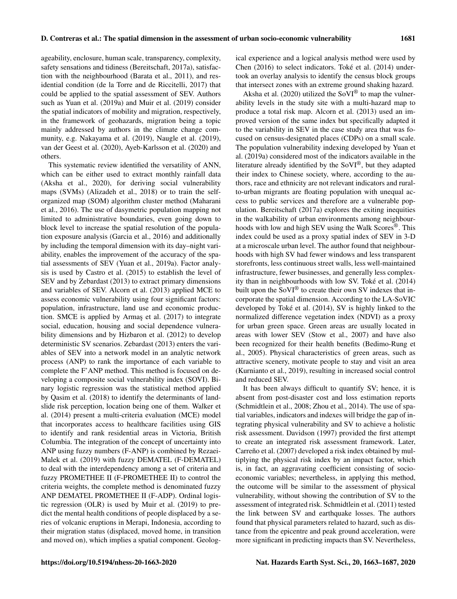ageability, enclosure, human scale, transparency, complexity, ical experience and a logical analysis method were used by Chen (2016) to select indicators. Toké et al. (2014) undertook an overlay analysis to identify the census block groups

safety sensations and tidiness (Bereitschaft, 2017a), satisfaction with the neighbourhood (Barata et al., 2011), and residential condition (de la Torre and de Riccitelli, 2017) that could be applied to the spatial assessment of SEV. Authors such as Yuan et al. (2019a) and Muir et al. (2019) consider the spatial indicators of mobility and migration, respectively, in the framework of geohazards, migration being a topic mainly addressed by authors in the climate change community, e.g. Nakayama et al. (2019), Naugle et al. (2019), van der Geest et al. (2020), Ayeb-Karlsson et al. (2020) and others.

This systematic review identified the versatility of ANN, which can be either used to extract monthly rainfall data (Aksha et al., 2020), for deriving social vulnerability maps (SVMs) (Alizadeh et al., 2018) or to train the selforganized map (SOM) algorithm cluster method (Maharani et al., 2016). The use of dasymetric population mapping not limited to administrative boundaries, even going down to block level to increase the spatial resolution of the population exposure analysis (Garcia et al., 2016) and additionally by including the temporal dimension with its day–night variability, enables the improvement of the accuracy of the spatial assessments of SEV (Yuan et al., 2019a). Factor analysis is used by Castro et al. (2015) to establish the level of SEV and by Zebardast (2013) to extract primary dimensions and variables of SEV. Alcorn et al. (2013) applied MCE to assess economic vulnerability using four significant factors: population, infrastructure, land use and economic production. SMCE is applied by Armaş et al. (2017) to integrate social, education, housing and social dependence vulnerability dimensions and by Hizbaron et al. (2012) to develop deterministic SV scenarios. Zebardast (2013) enters the variables of SEV into a network model in an analytic network process (ANP) to rank the importance of each variable to complete the F'ANP method. This method is focused on developing a composite social vulnerability index (SOVI). Binary logistic regression was the statistical method applied by Qasim et al. (2018) to identify the determinants of landslide risk perception, location being one of them. Walker et al. (2014) present a multi-criteria evaluation (MCE) model that incorporates access to healthcare facilities using GIS to identify and rank residential areas in Victoria, British Columbia. The integration of the concept of uncertainty into ANP using fuzzy numbers (F-ANP) is combined by Rezaei-Malek et al. (2019) with fuzzy DEMATEL (F-DEMATEL) to deal with the interdependency among a set of criteria and fuzzy PROMETHEE II (F-PROMETHEE II) to control the criteria weights, the complete method is denominated fuzzy ANP DEMATEL PROMETHEE II (F-ADP). Ordinal logistic regression (OLR) is used by Muir et al. (2019) to predict the mental health conditions of people displaced by a series of volcanic eruptions in Merapi, Indonesia, according to their migration status (displaced, moved home, in transition and moved on), which implies a spatial component. Geologthat intersect zones with an extreme ground shaking hazard. Aksha et al. (2020) utilized the SoVI<sup>®</sup> to map the vulnerability levels in the study site with a multi-hazard map to produce a total risk map. Alcorn et al. (2013) used an improved version of the same index but specifically adapted it to the variability in SEV in the case study area that was focused on census-designated places (CDPs) on a small scale. The population vulnerability indexing developed by Yuan et al. (2019a) considered most of the indicators available in the literature already identified by the SoVI®, but they adapted their index to Chinese society, where, according to the authors, race and ethnicity are not relevant indicators and ruralto-urban migrants are floating population with unequal access to public services and therefore are a vulnerable population. Bereitschaft (2017a) explores the exiting inequities in the walkability of urban environments among neighbourhoods with low and high SEV using the Walk Scores®. This index could be used as a proxy spatial index of SEV in 3-D at a microscale urban level. The author found that neighbourhoods with high SV had fewer windows and less transparent storefronts, less continuous street walls, less well-maintained infrastructure, fewer businesses, and generally less complexity than in neighbourhoods with low SV. Toké et al. (2014) built upon the SoVI<sup>®</sup> to create their own SV indexes that incorporate the spatial dimension. According to the LA-SoVIC developed by Toké et al. (2014), SV is highly linked to the normalized difference vegetation index (NDVI) as a proxy for urban green space. Green areas are usually located in areas with lower SEV (Stow et al., 2007) and have also been recognized for their health benefits (Bedimo-Rung et al., 2005). Physical characteristics of green areas, such as attractive scenery, motivate people to stay and visit an area (Kurnianto et al., 2019), resulting in increased social control and reduced SEV.

It has been always difficult to quantify SV; hence, it is absent from post-disaster cost and loss estimation reports (Schmidtlein et al., 2008; Zhou et al., 2014). The use of spatial variables, indicators and indexes will bridge the gap of integrating physical vulnerability and SV to achieve a holistic risk assessment. Davidson (1997) provided the first attempt to create an integrated risk assessment framework. Later, Carreño et al. (2007) developed a risk index obtained by multiplying the physical risk index by an impact factor, which is, in fact, an aggravating coefficient consisting of socioeconomic variables; nevertheless, in applying this method, the outcome will be similar to the assessment of physical vulnerability, without showing the contribution of SV to the assessment of integrated risk. Schmidtlein et al. (2011) tested the link between SV and earthquake losses. The authors found that physical parameters related to hazard, such as distance from the epicentre and peak ground acceleration, were more significant in predicting impacts than SV. Nevertheless,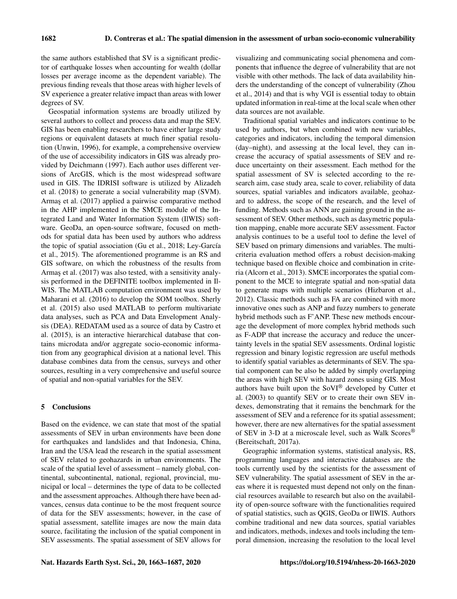the same authors established that SV is a significant predictor of earthquake losses when accounting for wealth (dollar losses per average income as the dependent variable). The previous finding reveals that those areas with higher levels of SV experience a greater relative impact than areas with lower degrees of SV.

Geospatial information systems are broadly utilized by several authors to collect and process data and map the SEV. GIS has been enabling researchers to have either large study regions or equivalent datasets at much finer spatial resolution (Unwin, 1996), for example, a comprehensive overview of the use of accessibility indicators in GIS was already provided by Deichmann (1997). Each author uses different versions of ArcGIS, which is the most widespread software used in GIS. The IDRISI software is utilized by Alizadeh et al. (2018) to generate a social vulnerability map (SVM). Armaş et al. (2017) applied a pairwise comparative method in the AHP implemented in the SMCE module of the Integrated Land and Water Information System (IlWIS) software. GeoDa, an open-source software, focused on methods for spatial data has been used by authors who address the topic of spatial association (Gu et al., 2018; Ley-García et al., 2015). The aforementioned programme is an RS and GIS software, on which the robustness of the results from Armaş et al. (2017) was also tested, with a sensitivity analysis performed in the DEFINITE toolbox implemented in Il-WIS. The MATLAB computation environment was used by Maharani et al. (2016) to develop the SOM toolbox. Sherly et al. (2015) also used MATLAB to perform multivariate data analyses, such as PCA and Data Envelopment Analysis (DEA). REDATAM used as a source of data by Castro et al. (2015), is an interactive hierarchical database that contains microdata and/or aggregate socio-economic information from any geographical division at a national level. This database combines data from the census, surveys and other sources, resulting in a very comprehensive and useful source of spatial and non-spatial variables for the SEV.

### 5 Conclusions

Based on the evidence, we can state that most of the spatial assessments of SEV in urban environments have been done for earthquakes and landslides and that Indonesia, China, Iran and the USA lead the research in the spatial assessment of SEV related to geohazards in urban environments. The scale of the spatial level of assessment – namely global, continental, subcontinental, national, regional, provincial, municipal or local – determines the type of data to be collected and the assessment approaches. Although there have been advances, census data continue to be the most frequent source of data for the SEV assessments; however, in the case of spatial assessment, satellite images are now the main data source, facilitating the inclusion of the spatial component in SEV assessments. The spatial assessment of SEV allows for

visualizing and communicating social phenomena and components that influence the degree of vulnerability that are not visible with other methods. The lack of data availability hinders the understanding of the concept of vulnerability (Zhou et al., 2014) and that is why VGI is essential today to obtain updated information in real-time at the local scale when other data sources are not available.

Traditional spatial variables and indicators continue to be used by authors, but when combined with new variables, categories and indicators, including the temporal dimension (day–night), and assessing at the local level, they can increase the accuracy of spatial assessments of SEV and reduce uncertainty on their assessment. Each method for the spatial assessment of SV is selected according to the research aim, case study area, scale to cover, reliability of data sources, spatial variables and indicators available, geohazard to address, the scope of the research, and the level of funding. Methods such as ANN are gaining ground in the assessment of SEV. Other methods, such as dasymetric population mapping, enable more accurate SEV assessment. Factor analysis continues to be a useful tool to define the level of SEV based on primary dimensions and variables. The multicriteria evaluation method offers a robust decision-making technique based on flexible choice and combination in criteria (Alcorn et al., 2013). SMCE incorporates the spatial component to the MCE to integrate spatial and non-spatial data to generate maps with multiple scenarios (Hizbaron et al., 2012). Classic methods such as FA are combined with more innovative ones such as ANP and fuzzy numbers to generate hybrid methods such as F'ANP. These new methods encourage the development of more complex hybrid methods such as F-ADP that increase the accuracy and reduce the uncertainty levels in the spatial SEV assessments. Ordinal logistic regression and binary logistic regression are useful methods to identify spatial variables as determinants of SEV. The spatial component can be also be added by simply overlapping the areas with high SEV with hazard zones using GIS. Most authors have built upon the SoVI® developed by Cutter et al. (2003) to quantify SEV or to create their own SEV indexes, demonstrating that it remains the benchmark for the assessment of SEV and a reference for its spatial assessment; however, there are new alternatives for the spatial assessment of SEV in 3-D at a microscale level, such as Walk Scores® (Bereitschaft, 2017a).

Geographic information systems, statistical analysis, RS, programming languages and interactive databases are the tools currently used by the scientists for the assessment of SEV vulnerability. The spatial assessment of SEV in the areas where it is requested must depend not only on the financial resources available to research but also on the availability of open-source software with the functionalities required of spatial statistics, such as QGIS, GeoDa or IlWIS. Authors combine traditional and new data sources, spatial variables and indicators, methods, indexes and tools including the temporal dimension, increasing the resolution to the local level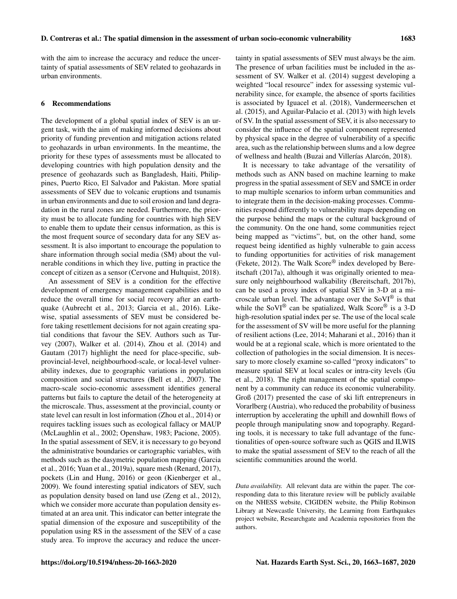with the aim to increase the accuracy and reduce the uncertainty of spatial assessments of SEV related to geohazards in urban environments.

### 6 Recommendations

The development of a global spatial index of SEV is an urgent task, with the aim of making informed decisions about priority of funding prevention and mitigation actions related to geohazards in urban environments. In the meantime, the priority for these types of assessments must be allocated to developing countries with high population density and the presence of geohazards such as Bangladesh, Haiti, Philippines, Puerto Rico, El Salvador and Pakistan. More spatial assessments of SEV due to volcanic eruptions and tsunamis in urban environments and due to soil erosion and land degradation in the rural zones are needed. Furthermore, the priority must be to allocate funding for countries with high SEV to enable them to update their census information, as this is the most frequent source of secondary data for any SEV assessment. It is also important to encourage the population to share information through social media (SM) about the vulnerable conditions in which they live, putting in practice the concept of citizen as a sensor (Cervone and Hultquist, 2018).

An assessment of SEV is a condition for the effective development of emergency management capabilities and to reduce the overall time for social recovery after an earthquake (Aubrecht et al., 2013; Garcia et al., 2016). Likewise, spatial assessments of SEV must be considered before taking resettlement decisions for not again creating spatial conditions that favour the SEV. Authors such as Turvey (2007), Walker et al. (2014), Zhou et al. (2014) and Gautam (2017) highlight the need for place-specific, subprovincial-level, neighbourhood-scale, or local-level vulnerability indexes, due to geographic variations in population composition and social structures (Bell et al., 2007). The macro-scale socio-economic assessment identifies general patterns but fails to capture the detail of the heterogeneity at the microscale. Thus, assessment at the provincial, county or state level can result in lost information (Zhou et al., 2014) or requires tackling issues such as ecological fallacy or MAUP (McLaughlin et al., 2002; Openshaw, 1983; Pacione, 2005). In the spatial assessment of SEV, it is necessary to go beyond the administrative boundaries or cartographic variables, with methods such as the dasymetric population mapping (Garcia et al., 2016; Yuan et al., 2019a), square mesh (Renard, 2017), pockets (Lin and Hung, 2016) or geon (Kienberger et al., 2009). We found interesting spatial indicators of SEV, such as population density based on land use (Zeng et al., 2012), which we consider more accurate than population density estimated at an area unit. This indicator can better integrate the spatial dimension of the exposure and susceptibility of the population using RS in the assessment of the SEV of a case study area. To improve the accuracy and reduce the uncertainty in spatial assessments of SEV must always be the aim. The presence of urban facilities must be included in the assessment of SV. Walker et al. (2014) suggest developing a weighted "local resource" index for assessing systemic vulnerability since, for example, the absence of sports facilities is associated by Iguacel et al. (2018), Vandermeerschen et al. (2015), and Aguilar-Palacio et al. (2013) with high levels of SV. In the spatial assessment of SEV, it is also necessary to consider the influence of the spatial component represented by physical space in the degree of vulnerability of a specific area, such as the relationship between slums and a low degree of wellness and health (Buzai and Villerías Alarcón, 2018).

It is necessary to take advantage of the versatility of methods such as ANN based on machine learning to make progress in the spatial assessment of SEV and SMCE in order to map multiple scenarios to inform urban communities and to integrate them in the decision-making processes. Communities respond differently to vulnerability maps depending on the purpose behind the maps or the cultural background of the community. On the one hand, some communities reject being mapped as "victims", but, on the other hand, some request being identified as highly vulnerable to gain access to funding opportunities for activities of risk management (Fekete, 2012). The Walk Score® index developed by Bereitschaft (2017a), although it was originally oriented to measure only neighbourhood walkability (Bereitschaft, 2017b), can be used a proxy index of spatial SEV in 3-D at a microscale urban level. The advantage over the  $SoVI^{\circledR}$  is that while the SoVI<sup>®</sup> can be spatialized, Walk Score<sup>®</sup> is a 3-D high-resolution spatial index per se. The use of the local scale for the assessment of SV will be more useful for the planning of resilient actions (Lee, 2014; Maharani et al., 2016) than it would be at a regional scale, which is more orientated to the collection of pathologies in the social dimension. It is necessary to more closely examine so-called "proxy indicators" to measure spatial SEV at local scales or intra-city levels (Gu et al., 2018). The right management of the spatial component by a community can reduce its economic vulnerability. Groß (2017) presented the case of ski lift entrepreneurs in Vorarlberg (Austria), who reduced the probability of business interruption by accelerating the uphill and downhill flows of people through manipulating snow and topography. Regarding tools, it is necessary to take full advantage of the functionalities of open-source software such as QGIS and ILWIS to make the spatial assessment of SEV to the reach of all the scientific communities around the world.

*Data availability.* All relevant data are within the paper. The corresponding data to this literature review will be publicly available on the NHESS website, CIGIDEN website, the Philip Robinson Library at Newcastle University, the Learning from Earthquakes project website, Researchgate and Academia repositories from the authors.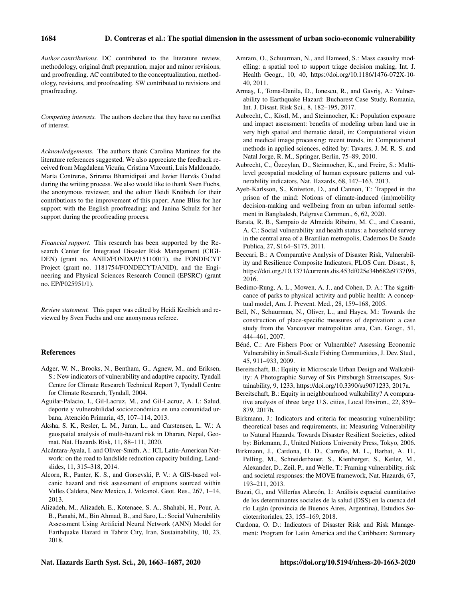*Author contributions.* DC contributed to the literature review, methodology, original draft preparation, major and minor revisions, and proofreading. AC contributed to the conceptualization, methodology, revisions, and proofreading. SW contributed to revisions and proofreading.

*Competing interests.* The authors declare that they have no conflict of interest.

*Acknowledgements.* The authors thank Carolina Martinez for the literature references suggested. We also appreciate the feedback received from Magdalena Vicuña, Cristina Vizconti, Luis Maldonado, Marta Contreras, Srirama Bhamidipati and Javier Hervás Ciudad during the writing process. We also would like to thank Sven Fuchs, the anonymous reviewer, and the editor Heidi Kreibich for their contributions to the improvement of this paper; Anne Bliss for her support with the English proofreading; and Janina Schulz for her support during the proofreading process.

*Financial support.* This research has been supported by the Research Center for Integrated Disaster Risk Management (CIGI-DEN) (grant no. ANID/FONDAP/15110017), the FONDECYT Project (grant no. 1181754/FONDECYT/ANID), and the Engineering and Physical Sciences Research Council (EPSRC) (grant no. EP/P025951/1).

*Review statement.* This paper was edited by Heidi Kreibich and reviewed by Sven Fuchs and one anonymous referee.

# References

- Adger, W. N., Brooks, N., Bentham, G., Agnew, M., and Eriksen, S.: New indicators of vulnerability and adaptive capacity, Tyndall Centre for Climate Research Technical Report 7, Tyndall Centre for Climate Research, Tyndall, 2004.
- Aguilar-Palacio, I., Gil-Lacruz, M., and Gil-Lacruz, A. I.: Salud, deporte y vulnerabilidad socioeconómica en una comunidad urbana, Atención Primaria, 45, 107–114, 2013.
- Aksha, S. K., Resler, L. M., Juran, L., and Carstensen, L. W.: A geospatial analysis of multi-hazard risk in Dharan, Nepal, Geomat. Nat. Hazards Risk, 11, 88–111, 2020.
- Alcántara-Ayala, I. and Oliver-Smith, A.: ICL Latin-American Network: on the road to landslide reduction capacity building, Landslides, 11, 315–318, 2014.
- Alcorn, R., Panter, K. S., and Gorsevski, P. V.: A GIS-based volcanic hazard and risk assessment of eruptions sourced within Valles Caldera, New Mexico, J. Volcanol. Geot. Res., 267, 1–14, 2013.
- Alizadeh, M., Alizadeh, E., Kotenaee, S. A., Shahabi, H., Pour, A. B., Panahi, M., Bin Ahmad, B., and Saro, L.: Social Vulnerability Assessment Using Artificial Neural Network (ANN) Model for Earthquake Hazard in Tabriz City, Iran, Sustainability, 10, 23, 2018.
- Amram, O., Schuurman, N., and Hameed, S.: Mass casualty modelling: a spatial tool to support triage decision making, Int. J. Health Geogr., 10, 40, https://doi.org[/10.1186/1476-072X-10-](https://doi.org/10.1186/1476-072X-10-40) [40,](https://doi.org/10.1186/1476-072X-10-40) 2011.
- Armaş, I., Toma-Danila, D., Ionescu, R., and Gavriş, A.: Vulnerability to Earthquake Hazard: Bucharest Case Study, Romania, Int. J. Disast. Risk Sci., 8, 182–195, 2017.
- Aubrecht, C., Köstl, M., and Steinnocher, K.: Population exposure and impact assessment: benefits of modeling urban land use in very high spatial and thematic detail, in: Computational vision and medical image processing: recent trends, in: Computational methods in applied sciences, edited by: Tavares, J. M. R. S. and Natal Jorge, R. M., Springer, Berlin, 75–89, 2010.
- Aubrecht, C., Özceylan, D., Steinnocher, K., and Freire, S.: Multilevel geospatial modeling of human exposure patterns and vulnerability indicators, Nat. Hazards, 68, 147–163, 2013.
- Ayeb-Karlsson, S., Kniveton, D., and Cannon, T.: Trapped in the prison of the mind: Notions of climate-induced (im)mobility decision-making and wellbeing from an urban informal settlement in Bangladesh, Palgrave Commun., 6, 62, 2020.
- Barata, R. B., Sampaio de Almeida Ribeiro, M. C., and Cassanti, A. C.: Social vulnerability and health status: a household survey in the central area of a Brazilian metropolis, Cadernos De Saude Publica, 27, S164–S175, 2011.
- Beccari, B.: A Comparative Analysis of Disaster Risk, Vulnerability and Resilience Composite Indicators, PLOS Curr. Disast., 8, [https://doi.org./10.1371/currents.dis.453df025e34b682e9737f95,](https://doi.org./10.1371/currents.dis.453df025e34b682e9737f95070f9b970) 2016.
- Bedimo-Rung, A. L., Mowen, A. J., and Cohen, D. A.: The significance of parks to physical activity and public health: A conceptual model, Am. J. Prevent. Med., 28, 159–168, 2005.
- Bell, N., Schuurman, N., Oliver, L., and Hayes, M.: Towards the construction of place-specific measures of deprivation: a case study from the Vancouver metropolitan area, Can. Geogr., 51, 444–461, 2007.
- Béné, C.: Are Fishers Poor or Vulnerable? Assessing Economic Vulnerability in Small-Scale Fishing Communities, J. Dev. Stud., 45, 911–933, 2009.
- Bereitschaft, B.: Equity in Microscale Urban Design and Walkability: A Photographic Survey of Six Pittsburgh Streetscapes, Sustainability, 9, 1233, https://doi.org[/10.3390/su9071233,](https://doi.org/10.3390/su9071233) 2017a.
- Bereitschaft, B.: Equity in neighbourhood walkability? A comparative analysis of three large U.S. cities, Local Environ., 22, 859– 879, 2017b.
- Birkmann, J.: Indicators and criteria for measuring vulnerability: theoretical bases and requirements, in: Measuring Vulnerability to Natural Hazards. Towards Disaster Resilient Societies, edited by: Birkmann, J., United Nations University Press, Tokyo, 2006.
- Birkmann, J., Cardona, O. D., Carreño, M. L., Barbat, A. H., Pelling, M., Schneiderbauer, S., Kienberger, S., Keiler, M., Alexander, D., Zeil, P., and Welle, T.: Framing vulnerability, risk and societal responses: the MOVE framework, Nat. Hazards, 67, 193–211, 2013.
- Buzai, G., and Villerías Alarcón, I.: Análisis espacial cuantitativo de los determinantes sociales de la salud (DSS) en la cuenca del río Luján (provincia de Buenos Aires, Argentina), Estudios Socioterritoriales, 23, 155–169, 2018.
- Cardona, O. D.: Indicators of Disaster Risk and Risk Management: Program for Latin America and the Caribbean: Summary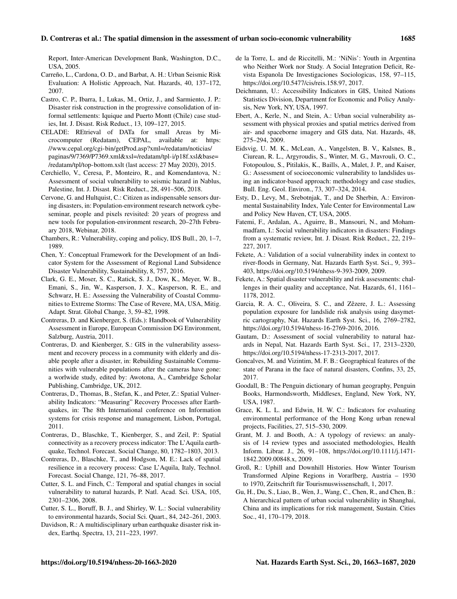Report, Inter-American Development Bank, Washington, D.C., USA, 2005.

- Carreño, L., Cardona, O. D., and Barbat, A. H.: Urban Seismic Risk Evaluation: A Holistic Approach, Nat. Hazards, 40, 137–172, 2007.
- Castro, C. P., Ibarra, I., Lukas, M., Ortiz, J., and Sarmiento, J. P.: Disaster risk construction in the progressive consolidation of informal settlements: Iquique and Puerto Montt (Chile) case studies, Int. J. Disast. Risk Reduct., 13, 109–127, 2015.
- CELADE: REtrieval of DATa for small Areas by Microcomputer (Redatam), CEPAL, available at: [https:](https://www.cepal.org/cgi-bin/getProd.asp?xml=/redatam/noticias/paginas/9/7369/P7369.xml&xsl=/redatam/tpl-i/p18f.xsl&base=/redatam/tpl/top-bottom.xslt) [//www.cepal.org/cgi-bin/getProd.asp?xml=/redatam/noticias/](https://www.cepal.org/cgi-bin/getProd.asp?xml=/redatam/noticias/paginas/9/7369/P7369.xml&xsl=/redatam/tpl-i/p18f.xsl&base=/redatam/tpl/top-bottom.xslt) [paginas/9/7369/P7369.xml&xsl=/redatam/tpl-i/p18f.xsl&base=](https://www.cepal.org/cgi-bin/getProd.asp?xml=/redatam/noticias/paginas/9/7369/P7369.xml&xsl=/redatam/tpl-i/p18f.xsl&base=/redatam/tpl/top-bottom.xslt) [/redatam/tpl/top-bottom.xslt](https://www.cepal.org/cgi-bin/getProd.asp?xml=/redatam/noticias/paginas/9/7369/P7369.xml&xsl=/redatam/tpl-i/p18f.xsl&base=/redatam/tpl/top-bottom.xslt) (last access: 27 May 2020), 2015.
- Cerchiello, V., Ceresa, P., Monteiro, R., and Komendantova, N.: Assessment of social vulnerability to seismic hazard in Nablus, Palestine, Int. J. Disast. Risk Reduct., 28, 491–506, 2018.
- Cervone, G. and Hultquist, C.: Citizen as indispensable sensors during disasters, in: Population-environment research network cybeseminar, people and pixels revisited: 20 years of progress and new tools for population-environment research, 20–27th February 2018, Webinar, 2018.
- Chambers, R.: Vulnerability, coping and policy, IDS Bull., 20, 1–7, 1989.
- Chen, Y.: Conceptual Framework for the Development of an Indicator System for the Assessment of Regional Land Subsidence Disaster Vulnerability, Sustainability, 8, 757, 2016.
- Clark, G. E., Moser, S. C., Ratick, S. J., Dow, K., Meyer, W. B., Emani, S., Jin, W., Kasperson, J. X., Kasperson, R. E., and Schwarz, H. E.: Assessing the Vulnerability of Coastal Communities to Extreme Storms: The Case of Revere, MA, USA, Mitig. Adapt. Strat. Global Change, 3, 59–82, 1998.
- Contreras, D. and Kienberger, S. (Eds.): Handbook of Vulnerability Assessment in Europe, European Commission DG Environment, Salzburg, Austria, 2011.
- Contreras, D. and Kienberger, S.: GIS in the vulnerability assessment and recovery process in a community with elderly and disable people after a disaster, in: Rebuilding Sustainable Communities with vulnerable populations after the cameras have gone: a worlwide study, edited by: Awotona, A., Cambridge Scholar Publishing, Cambridge, UK, 2012.
- Contreras, D., Thomas, B., Stefan, K., and Peter, Z.: Spatial Vulnerability Indicators: "Measuring" Recovery Processes after Earthquakes, in: The 8th International conference on Information systems for crisis response and management, Lisbon, Portugal, 2011.
- Contreras, D., Blaschke, T., Kienberger, S., and Zeil, P.: Spatial connectivity as a recovery process indicator: The L'Aquila earthquake, Technol. Forecast. Social Change, 80, 1782–1803, 2013.
- Contreras, D., Blaschke, T., and Hodgson, M. E.: Lack of spatial resilience in a recovery process: Case L'Aquila, Italy, Technol. Forecast. Social Change, 121, 76–88, 2017.
- Cutter, S. L. and Finch, C.: Temporal and spatial changes in social vulnerability to natural hazards, P. Natl. Acad. Sci. USA, 105, 2301–2306, 2008.
- Cutter, S. L., Boruff, B. J., and Shirley, W. L.: Social vulnerability to environmental hazards, Social Sci. Quart., 84, 242–261, 2003.
- Davidson, R.: A multidisciplinary urban earthquake disaster risk index, Earthq. Spectra, 13, 211–223, 1997.
- de la Torre, L. and de Riccitelli, M.: 'NiNis': Youth in Argentina who Neither Work nor Study. A Social Integration Deficit, Revista Espanola De Investigaciones Sociologicas, 158, 97–115, https://doi.org[/10.5477/cis/reis.158.97,](https://doi.org/10.5477/cis/reis.158.97) 2017.
- Deichmann, U.: Accessibility Indicators in GIS, United Nations Statistics Division, Department for Economic and Policy Analysis, New York, NY, USA, 1997.
- Ebert, A., Kerle, N., and Stein, A.: Urban social vulnerability assessment with physical proxies and spatial metrics derived from air- and spaceborne imagery and GIS data, Nat. Hazards, 48, 275–294, 2009.
- Eidsvig, U. M. K., McLean, A., Vangelsten, B. V., Kalsnes, B., Ciurean, R. L., Argyroudis, S., Winter, M. G., Mavrouli, O. C., Fotopoulou, S., Pitilakis, K., Baills, A., Malet, J. P., and Kaiser, G.: Assessment of socioeconomic vulnerability to landslides using an indicator-based approach: methodology and case studies, Bull. Eng. Geol. Environ., 73, 307–324, 2014.
- Esty, D., Levy, M., Srebotnjak, T., and De Sherbin, A.: Environmental Sustainability Index, Yale Center for Environmental Law and Policy New Haven, CT, USA, 2005.
- Fatemi, F., Ardalan, A., Aguirre, B., Mansouri, N., and Mohammadfam, I.: Social vulnerability indicators in disasters: Findings from a systematic review, Int. J. Disast. Risk Reduct., 22, 219– 227, 2017.
- Fekete, A.: Validation of a social vulnerability index in context to river-floods in Germany, Nat. Hazards Earth Syst. Sci., 9, 393– 403, https://doi.org[/10.5194/nhess-9-393-2009,](https://doi.org/10.5194/nhess-9-393-2009) 2009.
- Fekete, A.: Spatial disaster vulnerability and risk assessments: challenges in their quality and acceptance, Nat. Hazards, 61, 1161– 1178, 2012.
- Garcia, R. A. C., Oliveira, S. C., and Zêzere, J. L.: Assessing population exposure for landslide risk analysis using dasymetric cartography, Nat. Hazards Earth Syst. Sci., 16, 2769–2782, https://doi.org[/10.5194/nhess-16-2769-2016,](https://doi.org/10.5194/nhess-16-2769-2016) 2016.
- Gautam, D.: Assessment of social vulnerability to natural hazards in Nepal, Nat. Hazards Earth Syst. Sci., 17, 2313–2320, https://doi.org[/10.5194/nhess-17-2313-2017,](https://doi.org/10.5194/nhess-17-2313-2017) 2017.
- Goncalves, M. and Vizintim, M. F. B.: Geographical features of the state of Parana in the face of natural disasters, Confins, 33, 25, 2017.
- Goodall, B.: The Penguin dictionary of human geography, Penguin Books, Harmondsworth, Middlesex, England, New York, NY, USA, 1987.
- Grace, K. L. L. and Edwin, H. W. C.: Indicators for evaluating environmental performance of the Hong Kong urban renewal projects, Facilities, 27, 515–530, 2009.
- Grant, M. J. and Booth, A.: A typology of reviews: an analysis of 14 review types and associated methodologies, Health Inform. Librar. J., 26, 91–108, https://doi.org[/10.1111/j.1471-](https://doi.org/10.1111/j.1471-1842.2009.00848.x) [1842.2009.00848.x,](https://doi.org/10.1111/j.1471-1842.2009.00848.x) 2009.
- Groß, R.: Uphill and Downhill Histories. How Winter Tourism Transformed Alpine Regions in Vorarlberg, Austria – 1930 to 1970, Zeitschrift für Tourismuswissenschaft, 1, 2017.
- Gu, H., Du, S., Liao, B., Wen, J., Wang, C., Chen, R., and Chen, B.: A hierarchical pattern of urban social vulnerability in Shanghai, China and its implications for risk management, Sustain. Cities Soc., 41, 170–179, 2018.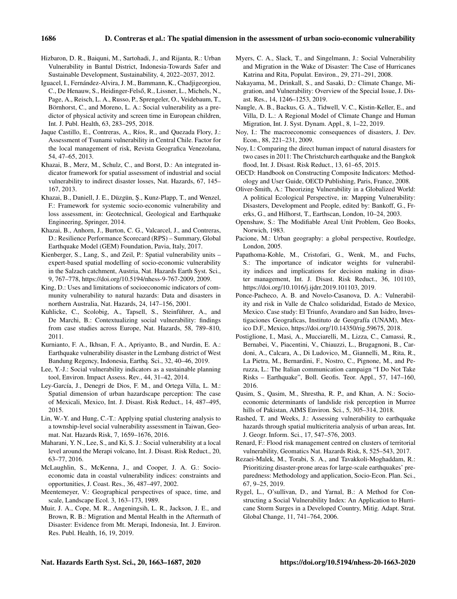- Hizbaron, D. R., Baiquni, M., Sartohadi, J., and Rijanta, R.: Urban Vulnerability in Bantul District, Indonesia-Towards Safer and Sustainable Development, Sustainability, 4, 2022–2037, 2012.
- Iguacel, I., Fernández-Alvira, J. M., Bammann, K., Chadjigeorgiou, C., De Henauw, S., Heidinger-Felső, R., Lissner, L., Michels, N., Page, A., Reisch, L. A., Russo, P., Sprengeler, O., Veidebaum, T., Börnhorst, C., and Moreno, L. A.: Social vulnerability as a predictor of physical activity and screen time in European children, Int. J. Publ. Health, 63, 283–295, 2018.
- Jaque Castillo, E., Contreras, A., Ríos, R., and Quezada Flory, J.: Assessment of Tsunami vulnerability in Central Chile. Factor for the local management of risk, Revista Geografica Venezolana, 54, 47–65, 2013.
- Khazai, B., Merz, M., Schulz, C., and Borst, D.: An integrated indicator framework for spatial assessment of industrial and social vulnerability to indirect disaster losses, Nat. Hazards, 67, 145– 167, 2013.
- Khazai, B., Daniell, J. E., Düzgün, Ş., Kunz-Plapp, T., and Wenzel, F.: Framework for systemic socio-economic vulnerability and loss assessment, in: Geotechnical, Geological and Earthquake Engineering, Springer, 2014.
- Khazai, B., Anhorn, J., Burton, C. G., Valcarcel, J., and Contreras, D.: Resilience Performance Scorecard (RPS) – Summary, Global Earthquake Model (GEM) Foundation, Pavia, Italy, 2017.
- Kienberger, S., Lang, S., and Zeil, P.: Spatial vulnerability units expert-based spatial modelling of socio-economic vulnerability in the Salzach catchment, Austria, Nat. Hazards Earth Syst. Sci., 9, 767–778, https://doi.org[/10.5194/nhess-9-767-2009,](https://doi.org/10.5194/nhess-9-767-2009) 2009.
- King, D.: Uses and limitations of socioeconomic indicators of community vulnerability to natural hazards: Data and disasters in northern Australia, Nat. Hazards, 24, 147–156, 2001.
- Kuhlicke, C., Scolobig, A., Tapsell, S., Steinführer, A., and De Marchi, B.: Contextualizing social vulnerability: findings from case studies across Europe, Nat. Hazards, 58, 789–810, 2011.
- Kurnianto, F. A., Ikhsan, F. A., Apriyanto, B., and Nurdin, E. A.: Earthquake vulnerability disaster in the Lembang district of West Bandung Regency, Indonesia, Earthq. Sci., 32, 40–46, 2019.
- Lee, Y.-J.: Social vulnerability indicators as a sustainable planning tool, Environ. Impact Assess. Rev., 44, 31–42, 2014.
- Ley-García, J., Denegri de Dios, F. M., and Ortega Villa, L. M.: Spatial dimension of urban hazardscape perception: The case of Mexicali, Mexico, Int. J. Disast. Risk Reduct., 14, 487–495, 2015.
- Lin, W.-Y. and Hung, C.-T.: Applying spatial clustering analysis to a township-level social vulnerability assessment in Taiwan, Geomat. Nat. Hazards Risk, 7, 1659–1676, 2016.
- Maharani, Y. N., Lee, S., and Ki, S. J.: Social vulnerability at a local level around the Merapi volcano, Int. J. Disast. Risk Reduct., 20, 63–77, 2016.
- McLaughlin, S., McKenna, J., and Cooper, J. A. G.: Socioeconomic data in coastal vulnerability indices: constraints and opportunities, J. Coast. Res., 36, 487–497, 2002.
- Meentemeyer, V.: Geographical perspectives of space, time, and scale, Landscape Ecol. 3, 163–173, 1989.
- Muir, J. A., Cope, M. R., Angeningsih, L. R., Jackson, J. E., and Brown, R. B.: Migration and Mental Health in the Aftermath of Disaster: Evidence from Mt. Merapi, Indonesia, Int. J. Environ. Res. Publ. Health, 16, 19, 2019.
- Myers, C. A., Slack, T., and Singelmann, J.: Social Vulnerability and Migration in the Wake of Disaster: The Case of Hurricanes Katrina and Rita, Populat. Environ., 29, 271–291, 2008.
- Nakayama, M., Drinkall, S., and Sasaki, D.: Climate Change, Migration, and Vulnerability: Overview of the Special Issue, J. Disast. Res., 14, 1246–1253, 2019.
- Naugle, A. B., Backus, G. A., Tidwell, V. C., Kistin-Keller, E., and Villa, D. L.: A Regional Model of Climate Change and Human Migration, Int. J. Syst. Dynam. Appl., 8, 1–22, 2019.
- Noy, I.: The macroeconomic consequences of disasters, J. Dev. Econ., 88, 221–231, 2009.
- Noy, I.: Comparing the direct human impact of natural disasters for two cases in 2011: The Christchurch earthquake and the Bangkok flood, Int. J. Disast. Risk Reduct., 13, 61–65, 2015.
- OECD: Handbook on Constructing Composite Indicators: Methodology and User Guide, OECD Publishing, Paris, France, 2008.
- Oliver-Smith, A.: Theorizing Vulnerability in a Globalized World: A political Ecological Perspective, in: Mapping Vulnerability: Disasters, Development and People, edited by: Bankoff, G., Frerks, G., and Hilhorst, T., Earthscan, London, 10–24, 2003.
- Openshaw, S.: The Modifiable Areal Unit Problem, Geo Books, Norwich, 1983.
- Pacione, M.: Urban geography: a global perspective, Routledge, London, 2005.
- Papathoma-Kohle, M., Cristofari, G., Wenk, M., and Fuchs, S.: The importance of indicator weights for vulnerability indices and implications for decision making in disaster management, Int. J. Disast. Risk Reduct., 36, 101103, https://doi.org[/10.1016/j.ijdrr.2019.101103,](https://doi.org/10.1016/j.ijdrr.2019.101103) 2019.
- Ponce-Pacheco, A. B. and Novelo-Casanova, D. A.: Vulnerability and risk in Valle de Chalco solidaridad, Estado de Mexico, Mexico. Case study: El Triunfo, Avandaro and San Isidro, Investigaciones Geograficas, Instituto de Geografía (UNAM), Mexico D.F., Mexico, https://doi.org[/10.14350/rig.59675,](https://doi.org/10.14350/rig.59675) 2018.
- Postiglione, I., Masi, A., Mucciarelli, M., Lizza, C., Camassi, R., Bernabei, V., Piacentini, V., Chiauzzi, L., Brugagnoni, B., Cardoni, A., Calcara, A., Di Ludovico, M., Giannelli, M., Rita, R., La Pietra, M., Bernardini, F., Nostro, C., Pignone, M., and Peruzza, L.: The Italian communication campaign "I Do Not Take Risks – Earthquake", Boll. Geofis. Teor. Appl., 57, 147–160, 2016.
- Qasim, S., Qasim, M., Shrestha, R. P., and Khan, A. N.: Socioeconomic determinants of landslide risk perception in Murree hills of Pakistan, AIMS Environ. Sci., 5, 305–314, 2018.
- Rashed, T. and Weeks, J.: Assessing vulnerability to earthquake hazards through spatial multicriteria analysis of urban areas, Int. J. Geogr. Inform. Sci., 17, 547–576, 2003.
- Renard, F.: Flood risk management centred on clusters of territorial vulnerability, Geomatics Nat. Hazards Risk, 8, 525–543, 2017.
- Rezaei-Malek, M., Torabi, S. A., and Tavakkoli-Moghaddam, R.: Prioritizing disaster-prone areas for large-scale earthquakes' preparedness: Methodology and application, Socio-Econ. Plan. Sci., 67, 9–25, 2019.
- Rygel, L., O'sullivan, D., and Yarnal, B.: A Method for Constructing a Social Vulnerability Index: An Application to Hurricane Storm Surges in a Developed Country, Mitig. Adapt. Strat. Global Change, 11, 741–764, 2006.